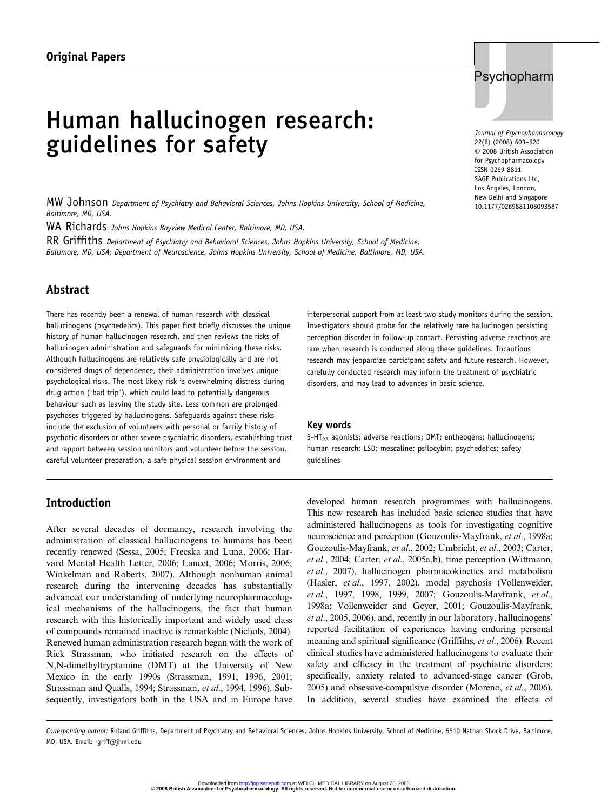# Human hallucinogen research: guidelines for safety

MW Johnson Department of Psychiatry and Behavioral Sciences, Johns Hopkins University, School of Medicine, Baltimore, MD, USA.

WA Richards Johns Hopkins Bayview Medical Center, Baltimore, MD, USA.

RR Griffiths Department of Psychiatry and Behavioral Sciences, Johns Hopkins University, School of Medicine, Baltimore, MD, USA; Department of Neuroscience, Johns Hopkins University, School of Medicine, Baltimore, MD, USA.

# Abstract

There has recently been a renewal of human research with classical hallucinogens (psychedelics). This paper first briefly discusses the unique history of human hallucinogen research, and then reviews the risks of hallucinogen administration and safeguards for minimizing these risks. Although hallucinogens are relatively safe physiologically and are not considered drugs of dependence, their administration involves unique psychological risks. The most likely risk is overwhelming distress during drug action ('bad trip'), which could lead to potentially dangerous behaviour such as leaving the study site. Less common are prolonged psychoses triggered by hallucinogens. Safeguards against these risks include the exclusion of volunteers with personal or family history of psychotic disorders or other severe psychiatric disorders, establishing trust and rapport between session monitors and volunteer before the session, careful volunteer preparation, a safe physical session environment and

# Introduction

After several decades of dormancy, research involving the administration of classical hallucinogens to humans has been recently renewed (Sessa, 2005; Frecska and Luna, 2006; Harvard Mental Health Letter, 2006; Lancet, 2006; Morris, 2006; Winkelman and Roberts, 2007). Although nonhuman animal research during the intervening decades has substantially advanced our understanding of underlying neuropharmacological mechanisms of the hallucinogens, the fact that human research with this historically important and widely used class of compounds remained inactive is remarkable (Nichols, 2004). Renewed human administration research began with the work of Rick Strassman, who initiated research on the effects of N,N-dimethyltryptamine (DMT) at the University of New Mexico in the early 1990s (Strassman, 1991, 1996, 2001; Strassman and Qualls, 1994; Strassman, et al., 1994, 1996). Subsequently, investigators both in the USA and in Europe have Psychopharm

Journal of Psychopharmacology 22(6) (2008) 603–620 © 2008 British Association for Psychopharmacology ISSN 0269-8811 SAGE Publications Ltd, Los Angeles, London, New Delhi and Singapore 10.1177/0269881108093587

interpersonal support from at least two study monitors during the session. Investigators should probe for the relatively rare hallucinogen persisting perception disorder in follow-up contact. Persisting adverse reactions are rare when research is conducted along these guidelines. Incautious research may jeopardize participant safety and future research. However, carefully conducted research may inform the treatment of psychiatric disorders, and may lead to advances in basic science.

#### Key words

5-HT<sub>2A</sub> agonists; adverse reactions; DMT; entheogens; hallucinogens; human research; LSD; mescaline; psilocybin; psychedelics; safety guidelines

developed human research programmes with hallucinogens. This new research has included basic science studies that have administered hallucinogens as tools for investigating cognitive neuroscience and perception (Gouzoulis-Mayfrank, et al., 1998a; Gouzoulis-Mayfrank, et al., 2002; Umbricht, et al., 2003; Carter, et al., 2004; Carter, et al., 2005a,b), time perception (Wittmann, et al., 2007), hallucinogen pharmacokinetics and metabolism (Hasler, et al., 1997, 2002), model psychosis (Vollenweider, et al., 1997, 1998, 1999, 2007; Gouzoulis-Mayfrank, et al., 1998a; Vollenweider and Geyer, 2001; Gouzoulis-Mayfrank, et al., 2005, 2006), and, recently in our laboratory, hallucinogens' reported facilitation of experiences having enduring personal meaning and spiritual significance (Griffiths, et al., 2006). Recent clinical studies have administered hallucinogens to evaluate their safety and efficacy in the treatment of psychiatric disorders: specifically, anxiety related to advanced-stage cancer (Grob, 2005) and obsessive-compulsive disorder (Moreno, et al., 2006). In addition, several studies have examined the effects of

Corresponding author: Roland Griffiths, Department of Psychiatry and Behavioral Sciences, Johns Hopkins University, School of Medicine, 5510 Nathan Shock Drive, Baltimore, MD, USA. Email: rgriff@jhmi.edu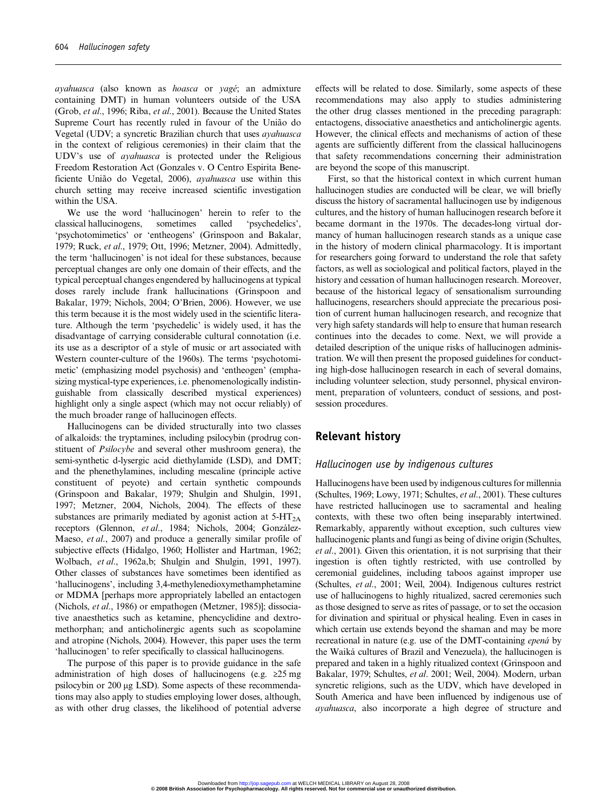ayahuasca (also known as hoasca or yagé; an admixture containing DMT) in human volunteers outside of the USA (Grob, et al., 1996; Riba, et al., 2001). Because the United States Supreme Court has recently ruled in favour of the União do Vegetal (UDV; a syncretic Brazilian church that uses ayahuasca in the context of religious ceremonies) in their claim that the UDV's use of ayahuasca is protected under the Religious Freedom Restoration Act (Gonzales v. O Centro Espirita Beneficiente União do Vegetal, 2006), ayahuasca use within this church setting may receive increased scientific investigation within the USA.

We use the word 'hallucinogen' herein to refer to the classical hallucinogens, sometimes called 'psychedelics', 'psychotomimetics' or 'entheogens' (Grinspoon and Bakalar, 1979; Ruck, et al., 1979; Ott, 1996; Metzner, 2004). Admittedly, the term 'hallucinogen' is not ideal for these substances, because perceptual changes are only one domain of their effects, and the typical perceptual changes engendered by hallucinogens at typical doses rarely include frank hallucinations (Grinspoon and Bakalar, 1979; Nichols, 2004; O'Brien, 2006). However, we use this term because it is the most widely used in the scientific literature. Although the term 'psychedelic' is widely used, it has the disadvantage of carrying considerable cultural connotation (i.e. its use as a descriptor of a style of music or art associated with Western counter-culture of the 1960s). The terms 'psychotomimetic' (emphasizing model psychosis) and 'entheogen' (emphasizing mystical-type experiences, i.e. phenomenologically indistinguishable from classically described mystical experiences) highlight only a single aspect (which may not occur reliably) of the much broader range of hallucinogen effects.

Hallucinogens can be divided structurally into two classes of alkaloids: the tryptamines, including psilocybin (prodrug constituent of *Psilocybe* and several other mushroom genera), the semi-synthetic d-lysergic acid diethylamide (LSD), and DMT; and the phenethylamines, including mescaline (principle active constituent of peyote) and certain synthetic compounds (Grinspoon and Bakalar, 1979; Shulgin and Shulgin, 1991, 1997; Metzner, 2004, Nichols, 2004). The effects of these substances are primarily mediated by agonist action at  $5-HT_{2A}$ receptors (Glennon, et al., 1984; Nichols, 2004; González-Maeso, *et al.*, 2007) and produce a generally similar profile of subjective effects (Hidalgo, 1960; Hollister and Hartman, 1962; Wolbach, et al., 1962a,b; Shulgin and Shulgin, 1991, 1997). Other classes of substances have sometimes been identified as 'hallucinogens', including 3,4-methylenedioxymethamphetamine or MDMA [perhaps more appropriately labelled an entactogen (Nichols, et al., 1986) or empathogen (Metzner, 1985)]; dissociative anaesthetics such as ketamine, phencyclidine and dextromethorphan; and anticholinergic agents such as scopolamine and atropine (Nichols, 2004). However, this paper uses the term 'hallucinogen' to refer specifically to classical hallucinogens.

The purpose of this paper is to provide guidance in the safe administration of high doses of hallucinogens (e.g. ≥25 mg psilocybin or 200 μg LSD). Some aspects of these recommendations may also apply to studies employing lower doses, although, as with other drug classes, the likelihood of potential adverse effects will be related to dose. Similarly, some aspects of these recommendations may also apply to studies administering the other drug classes mentioned in the preceding paragraph: entactogens, dissociative anaesthetics and anticholinergic agents. However, the clinical effects and mechanisms of action of these agents are sufficiently different from the classical hallucinogens that safety recommendations concerning their administration are beyond the scope of this manuscript.

First, so that the historical context in which current human hallucinogen studies are conducted will be clear, we will briefly discuss the history of sacramental hallucinogen use by indigenous cultures, and the history of human hallucinogen research before it became dormant in the 1970s. The decades-long virtual dormancy of human hallucinogen research stands as a unique case in the history of modern clinical pharmacology. It is important for researchers going forward to understand the role that safety factors, as well as sociological and political factors, played in the history and cessation of human hallucinogen research. Moreover, because of the historical legacy of sensationalism surrounding hallucinogens, researchers should appreciate the precarious position of current human hallucinogen research, and recognize that very high safety standards will help to ensure that human research continues into the decades to come. Next, we will provide a detailed description of the unique risks of hallucinogen administration. We will then present the proposed guidelines for conducting high-dose hallucinogen research in each of several domains, including volunteer selection, study personnel, physical environment, preparation of volunteers, conduct of sessions, and postsession procedures.

## Relevant history

#### Hallucinogen use by indigenous cultures

Hallucinogens have been used by indigenous cultures for millennia (Schultes, 1969; Lowy, 1971; Schultes, et al., 2001). These cultures have restricted hallucinogen use to sacramental and healing contexts, with these two often being inseparably intertwined. Remarkably, apparently without exception, such cultures view hallucinogenic plants and fungi as being of divine origin (Schultes, et al., 2001). Given this orientation, it is not surprising that their ingestion is often tightly restricted, with use controlled by ceremonial guidelines, including taboos against improper use (Schultes, et al., 2001; Weil, 2004). Indigenous cultures restrict use of hallucinogens to highly ritualized, sacred ceremonies such as those designed to serve as rites of passage, or to set the occasion for divination and spiritual or physical healing. Even in cases in which certain use extends beyond the shaman and may be more recreational in nature (e.g. use of the DMT-containing *epená* by the Waiká cultures of Brazil and Venezuela), the hallucinogen is prepared and taken in a highly ritualized context (Grinspoon and Bakalar, 1979; Schultes, et al. 2001; Weil, 2004). Modern, urban syncretic religions, such as the UDV, which have developed in South America and have been influenced by indigenous use of ayahuasca, also incorporate a high degree of structure and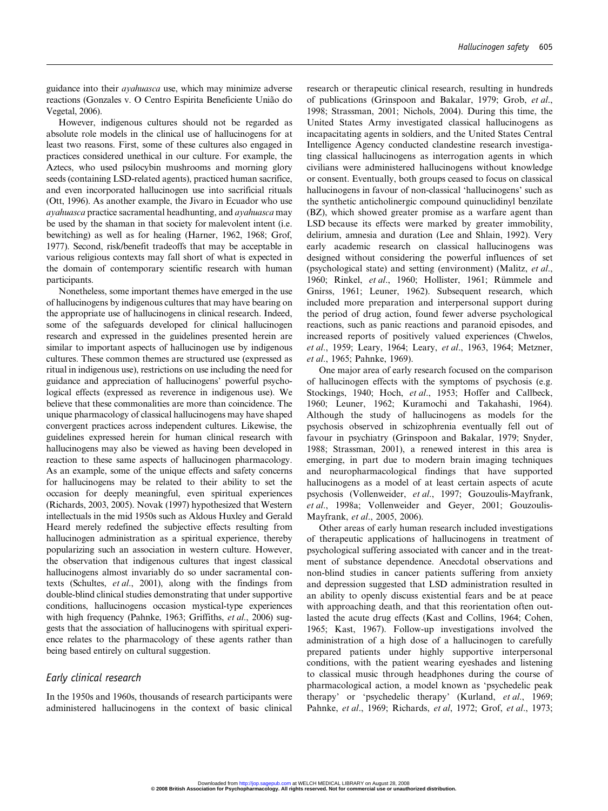guidance into their *ayahuasca* use, which may minimize adverse reactions (Gonzales v. O Centro Espirita Beneficiente União do Vegetal, 2006).

However, indigenous cultures should not be regarded as absolute role models in the clinical use of hallucinogens for at least two reasons. First, some of these cultures also engaged in practices considered unethical in our culture. For example, the Aztecs, who used psilocybin mushrooms and morning glory seeds (containing LSD-related agents), practiced human sacrifice, and even incorporated hallucinogen use into sacrificial rituals (Ott, 1996). As another example, the Jivaro in Ecuador who use ayahuasca practice sacramental headhunting, and ayahuasca may be used by the shaman in that society for malevolent intent (i.e. bewitching) as well as for healing (Harner, 1962, 1968; Grof, 1977). Second, risk/benefit tradeoffs that may be acceptable in various religious contexts may fall short of what is expected in the domain of contemporary scientific research with human participants.

Nonetheless, some important themes have emerged in the use of hallucinogens by indigenous cultures that may have bearing on the appropriate use of hallucinogens in clinical research. Indeed, some of the safeguards developed for clinical hallucinogen research and expressed in the guidelines presented herein are similar to important aspects of hallucinogen use by indigenous cultures. These common themes are structured use (expressed as ritual in indigenous use), restrictions on use including the need for guidance and appreciation of hallucinogens' powerful psychological effects (expressed as reverence in indigenous use). We believe that these commonalities are more than coincidence. The unique pharmacology of classical hallucinogens may have shaped convergent practices across independent cultures. Likewise, the guidelines expressed herein for human clinical research with hallucinogens may also be viewed as having been developed in reaction to these same aspects of hallucinogen pharmacology. As an example, some of the unique effects and safety concerns for hallucinogens may be related to their ability to set the occasion for deeply meaningful, even spiritual experiences (Richards, 2003, 2005). Novak (1997) hypothesized that Western intellectuals in the mid 1950s such as Aldous Huxley and Gerald Heard merely redefined the subjective effects resulting from hallucinogen administration as a spiritual experience, thereby popularizing such an association in western culture. However, the observation that indigenous cultures that ingest classical hallucinogens almost invariably do so under sacramental contexts (Schultes, et al., 2001), along with the findings from double-blind clinical studies demonstrating that under supportive conditions, hallucinogens occasion mystical-type experiences with high frequency (Pahnke, 1963; Griffiths, et al., 2006) suggests that the association of hallucinogens with spiritual experience relates to the pharmacology of these agents rather than being based entirely on cultural suggestion.

## Early clinical research

In the 1950s and 1960s, thousands of research participants were administered hallucinogens in the context of basic clinical research or therapeutic clinical research, resulting in hundreds of publications (Grinspoon and Bakalar, 1979; Grob, et al., 1998; Strassman, 2001; Nichols, 2004). During this time, the United States Army investigated classical hallucinogens as incapacitating agents in soldiers, and the United States Central Intelligence Agency conducted clandestine research investigating classical hallucinogens as interrogation agents in which civilians were administered hallucinogens without knowledge or consent. Eventually, both groups ceased to focus on classical hallucinogens in favour of non-classical 'hallucinogens' such as the synthetic anticholinergic compound quinuclidinyl benzilate (BZ), which showed greater promise as a warfare agent than LSD because its effects were marked by greater immobility, delirium, amnesia and duration (Lee and Shlain, 1992). Very early academic research on classical hallucinogens was designed without considering the powerful influences of set (psychological state) and setting (environment) (Malitz, et al., 1960; Rinkel, et al., 1960; Hollister, 1961; Rümmele and Gnirss, 1961; Leuner, 1962). Subsequent research, which included more preparation and interpersonal support during the period of drug action, found fewer adverse psychological reactions, such as panic reactions and paranoid episodes, and increased reports of positively valued experiences (Chwelos, et al., 1959; Leary, 1964; Leary, et al., 1963, 1964; Metzner, et al., 1965; Pahnke, 1969).

One major area of early research focused on the comparison of hallucinogen effects with the symptoms of psychosis (e.g. Stockings, 1940; Hoch, et al., 1953; Hoffer and Callbeck, 1960; Leuner, 1962; Kuramochi and Takahashi, 1964). Although the study of hallucinogens as models for the psychosis observed in schizophrenia eventually fell out of favour in psychiatry (Grinspoon and Bakalar, 1979; Snyder, 1988; Strassman, 2001), a renewed interest in this area is emerging, in part due to modern brain imaging techniques and neuropharmacological findings that have supported hallucinogens as a model of at least certain aspects of acute psychosis (Vollenweider, et al., 1997; Gouzoulis-Mayfrank, et al., 1998a; Vollenweider and Geyer, 2001; Gouzoulis-Mayfrank, et al., 2005, 2006).

Other areas of early human research included investigations of therapeutic applications of hallucinogens in treatment of psychological suffering associated with cancer and in the treatment of substance dependence. Anecdotal observations and non-blind studies in cancer patients suffering from anxiety and depression suggested that LSD administration resulted in an ability to openly discuss existential fears and be at peace with approaching death, and that this reorientation often outlasted the acute drug effects (Kast and Collins, 1964; Cohen, 1965; Kast, 1967). Follow-up investigations involved the administration of a high dose of a hallucinogen to carefully prepared patients under highly supportive interpersonal conditions, with the patient wearing eyeshades and listening to classical music through headphones during the course of pharmacological action, a model known as 'psychedelic peak therapy' or 'psychedelic therapy' (Kurland, et al., 1969; Pahnke, et al., 1969; Richards, et al, 1972; Grof, et al., 1973;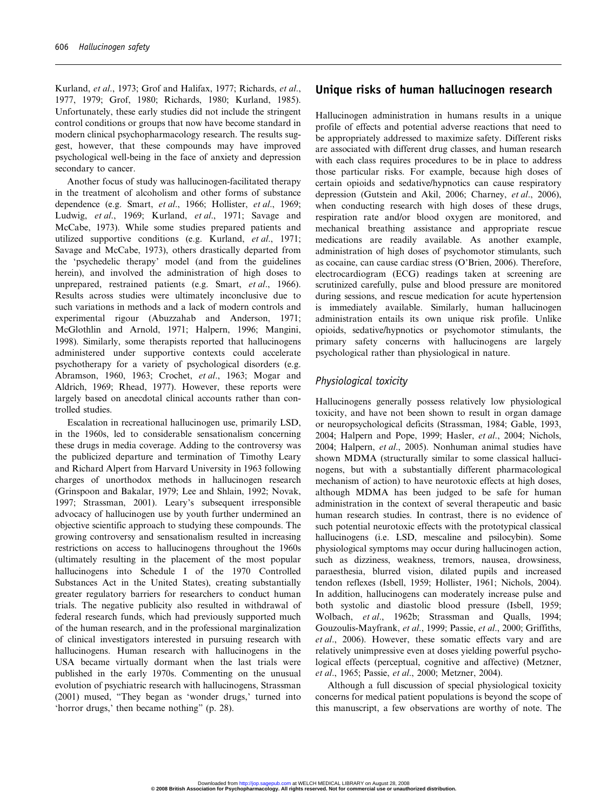Kurland, et al., 1973; Grof and Halifax, 1977; Richards, et al., 1977, 1979; Grof, 1980; Richards, 1980; Kurland, 1985). Unfortunately, these early studies did not include the stringent control conditions or groups that now have become standard in modern clinical psychopharmacology research. The results suggest, however, that these compounds may have improved psychological well-being in the face of anxiety and depression secondary to cancer.

Another focus of study was hallucinogen-facilitated therapy in the treatment of alcoholism and other forms of substance dependence (e.g. Smart, et al., 1966; Hollister, et al., 1969; Ludwig, et al., 1969; Kurland, et al., 1971; Savage and McCabe, 1973). While some studies prepared patients and utilized supportive conditions (e.g. Kurland, et al., 1971; Savage and McCabe, 1973), others drastically departed from the 'psychedelic therapy' model (and from the guidelines herein), and involved the administration of high doses to unprepared, restrained patients (e.g. Smart, et al., 1966). Results across studies were ultimately inconclusive due to such variations in methods and a lack of modern controls and experimental rigour (Abuzzahab and Anderson, 1971; McGlothlin and Arnold, 1971; Halpern, 1996; Mangini, 1998). Similarly, some therapists reported that hallucinogens administered under supportive contexts could accelerate psychotherapy for a variety of psychological disorders (e.g. Abramson, 1960, 1963; Crochet, et al., 1963; Mogar and Aldrich, 1969; Rhead, 1977). However, these reports were largely based on anecdotal clinical accounts rather than controlled studies.

Escalation in recreational hallucinogen use, primarily LSD, in the 1960s, led to considerable sensationalism concerning these drugs in media coverage. Adding to the controversy was the publicized departure and termination of Timothy Leary and Richard Alpert from Harvard University in 1963 following charges of unorthodox methods in hallucinogen research (Grinspoon and Bakalar, 1979; Lee and Shlain, 1992; Novak, 1997; Strassman, 2001). Leary's subsequent irresponsible advocacy of hallucinogen use by youth further undermined an objective scientific approach to studying these compounds. The growing controversy and sensationalism resulted in increasing restrictions on access to hallucinogens throughout the 1960s (ultimately resulting in the placement of the most popular hallucinogens into Schedule I of the 1970 Controlled Substances Act in the United States), creating substantially greater regulatory barriers for researchers to conduct human trials. The negative publicity also resulted in withdrawal of federal research funds, which had previously supported much of the human research, and in the professional marginalization of clinical investigators interested in pursuing research with hallucinogens. Human research with hallucinogens in the USA became virtually dormant when the last trials were published in the early 1970s. Commenting on the unusual evolution of psychiatric research with hallucinogens, Strassman (2001) mused, "They began as 'wonder drugs,' turned into 'horror drugs,' then became nothing" (p. 28).

## Unique risks of human hallucinogen research

Hallucinogen administration in humans results in a unique profile of effects and potential adverse reactions that need to be appropriately addressed to maximize safety. Different risks are associated with different drug classes, and human research with each class requires procedures to be in place to address those particular risks. For example, because high doses of certain opioids and sedative/hypnotics can cause respiratory depression (Gutstein and Akil, 2006; Charney, et al., 2006), when conducting research with high doses of these drugs, respiration rate and/or blood oxygen are monitored, and mechanical breathing assistance and appropriate rescue medications are readily available. As another example, administration of high doses of psychomotor stimulants, such as cocaine, can cause cardiac stress (O'Brien, 2006). Therefore, electrocardiogram (ECG) readings taken at screening are scrutinized carefully, pulse and blood pressure are monitored during sessions, and rescue medication for acute hypertension is immediately available. Similarly, human hallucinogen administration entails its own unique risk profile. Unlike opioids, sedative/hypnotics or psychomotor stimulants, the primary safety concerns with hallucinogens are largely psychological rather than physiological in nature.

## Physiological toxicity

Hallucinogens generally possess relatively low physiological toxicity, and have not been shown to result in organ damage or neuropsychological deficits (Strassman, 1984; Gable, 1993, 2004; Halpern and Pope, 1999; Hasler, et al., 2004; Nichols, 2004; Halpern, et al., 2005). Nonhuman animal studies have shown MDMA (structurally similar to some classical hallucinogens, but with a substantially different pharmacological mechanism of action) to have neurotoxic effects at high doses, although MDMA has been judged to be safe for human administration in the context of several therapeutic and basic human research studies. In contrast, there is no evidence of such potential neurotoxic effects with the prototypical classical hallucinogens (i.e. LSD, mescaline and psilocybin). Some physiological symptoms may occur during hallucinogen action, such as dizziness, weakness, tremors, nausea, drowsiness, paraesthesia, blurred vision, dilated pupils and increased tendon reflexes (Isbell, 1959; Hollister, 1961; Nichols, 2004). In addition, hallucinogens can moderately increase pulse and both systolic and diastolic blood pressure (Isbell, 1959; Wolbach, *et al.*, 1962b; Strassman and Oualls, 1994; Gouzoulis-Mayfrank, et al., 1999; Passie, et al., 2000; Griffiths, et al., 2006). However, these somatic effects vary and are relatively unimpressive even at doses yielding powerful psychological effects (perceptual, cognitive and affective) (Metzner, et al., 1965; Passie, et al., 2000; Metzner, 2004).

Although a full discussion of special physiological toxicity concerns for medical patient populations is beyond the scope of this manuscript, a few observations are worthy of note. The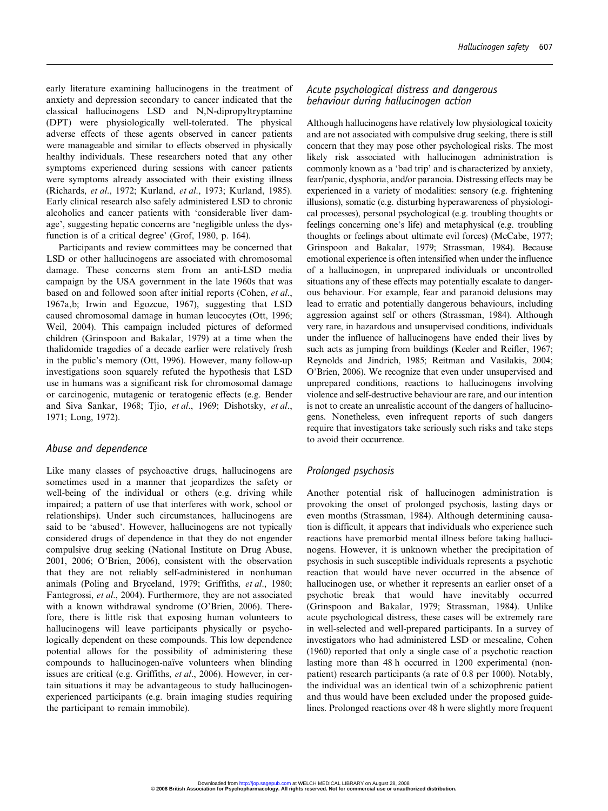early literature examining hallucinogens in the treatment of anxiety and depression secondary to cancer indicated that the classical hallucinogens LSD and N,N-dipropyltryptamine (DPT) were physiologically well-tolerated. The physical adverse effects of these agents observed in cancer patients were manageable and similar to effects observed in physically healthy individuals. These researchers noted that any other symptoms experienced during sessions with cancer patients were symptoms already associated with their existing illness (Richards, et al., 1972; Kurland, et al., 1973; Kurland, 1985). Early clinical research also safely administered LSD to chronic alcoholics and cancer patients with 'considerable liver damage', suggesting hepatic concerns are 'negligible unless the dysfunction is of a critical degree' (Grof, 1980, p. 164).

Participants and review committees may be concerned that LSD or other hallucinogens are associated with chromosomal damage. These concerns stem from an anti-LSD media campaign by the USA government in the late 1960s that was based on and followed soon after initial reports (Cohen, et al., 1967a,b; Irwin and Egozcue, 1967), suggesting that LSD caused chromosomal damage in human leucocytes (Ott, 1996; Weil, 2004). This campaign included pictures of deformed children (Grinspoon and Bakalar, 1979) at a time when the thalidomide tragedies of a decade earlier were relatively fresh in the public's memory (Ott, 1996). However, many follow-up investigations soon squarely refuted the hypothesis that LSD use in humans was a significant risk for chromosomal damage or carcinogenic, mutagenic or teratogenic effects (e.g. Bender and Siva Sankar, 1968; Tjio, et al., 1969; Dishotsky, et al., 1971; Long, 1972).

#### Abuse and dependence

Like many classes of psychoactive drugs, hallucinogens are sometimes used in a manner that jeopardizes the safety or well-being of the individual or others (e.g. driving while impaired; a pattern of use that interferes with work, school or relationships). Under such circumstances, hallucinogens are said to be 'abused'. However, hallucinogens are not typically considered drugs of dependence in that they do not engender compulsive drug seeking (National Institute on Drug Abuse, 2001, 2006; O'Brien, 2006), consistent with the observation that they are not reliably self-administered in nonhuman animals (Poling and Bryceland, 1979; Griffiths, et al., 1980; Fantegrossi, et al., 2004). Furthermore, they are not associated with a known withdrawal syndrome (O'Brien, 2006). Therefore, there is little risk that exposing human volunteers to hallucinogens will leave participants physically or psychologically dependent on these compounds. This low dependence potential allows for the possibility of administering these compounds to hallucinogen-naïve volunteers when blinding issues are critical (e.g. Griffiths, et al., 2006). However, in certain situations it may be advantageous to study hallucinogenexperienced participants (e.g. brain imaging studies requiring the participant to remain immobile).

### Acute psychological distress and dangerous behaviour during hallucinogen action

Although hallucinogens have relatively low physiological toxicity and are not associated with compulsive drug seeking, there is still concern that they may pose other psychological risks. The most likely risk associated with hallucinogen administration is commonly known as a 'bad trip' and is characterized by anxiety, fear/panic, dysphoria, and/or paranoia. Distressing effects may be experienced in a variety of modalities: sensory (e.g. frightening illusions), somatic (e.g. disturbing hyperawareness of physiological processes), personal psychological (e.g. troubling thoughts or feelings concerning one's life) and metaphysical (e.g. troubling thoughts or feelings about ultimate evil forces) (McCabe, 1977; Grinspoon and Bakalar, 1979; Strassman, 1984). Because emotional experience is often intensified when under the influence of a hallucinogen, in unprepared individuals or uncontrolled situations any of these effects may potentially escalate to dangerous behaviour. For example, fear and paranoid delusions may lead to erratic and potentially dangerous behaviours, including aggression against self or others (Strassman, 1984). Although very rare, in hazardous and unsupervised conditions, individuals under the influence of hallucinogens have ended their lives by such acts as jumping from buildings (Keeler and Reifler, 1967; Reynolds and Jindrich, 1985; Reitman and Vasilakis, 2004; O'Brien, 2006). We recognize that even under unsupervised and unprepared conditions, reactions to hallucinogens involving violence and self-destructive behaviour are rare, and our intention is not to create an unrealistic account of the dangers of hallucinogens. Nonetheless, even infrequent reports of such dangers require that investigators take seriously such risks and take steps to avoid their occurrence.

## Prolonged psychosis

Another potential risk of hallucinogen administration is provoking the onset of prolonged psychosis, lasting days or even months (Strassman, 1984). Although determining causation is difficult, it appears that individuals who experience such reactions have premorbid mental illness before taking hallucinogens. However, it is unknown whether the precipitation of psychosis in such susceptible individuals represents a psychotic reaction that would have never occurred in the absence of hallucinogen use, or whether it represents an earlier onset of a psychotic break that would have inevitably occurred (Grinspoon and Bakalar, 1979; Strassman, 1984). Unlike acute psychological distress, these cases will be extremely rare in well-selected and well-prepared participants. In a survey of investigators who had administered LSD or mescaline, Cohen (1960) reported that only a single case of a psychotic reaction lasting more than 48 h occurred in 1200 experimental (nonpatient) research participants (a rate of 0.8 per 1000). Notably, the individual was an identical twin of a schizophrenic patient and thus would have been excluded under the proposed guidelines. Prolonged reactions over 48 h were slightly more frequent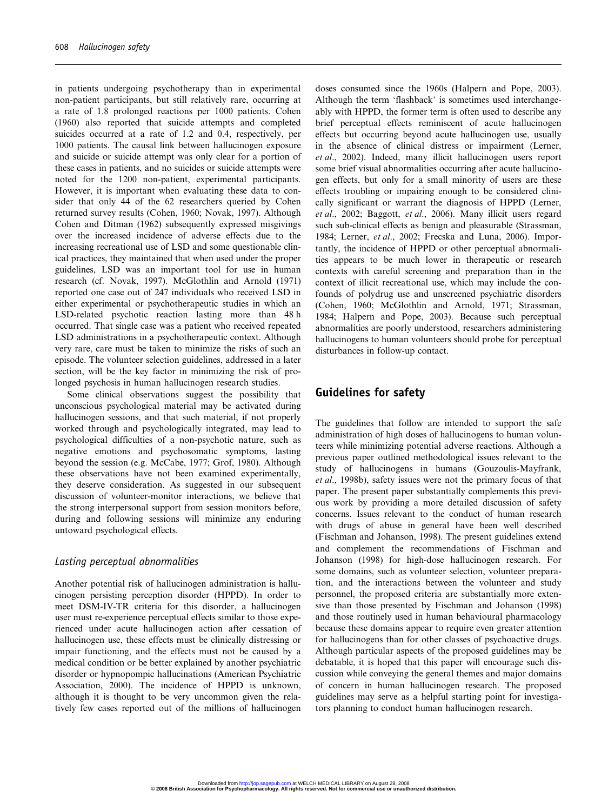in patients undergoing psychotherapy than in experimental non-patient participants, but still relatively rare, occurring at a rate of 1.8 prolonged reactions per 1000 patients. Cohen (1960) also reported that suicide attempts and completed suicides occurred at a rate of 1.2 and 0.4, respectively, per 1000 patients. The causal link between hallucinogen exposure and suicide or suicide attempt was only clear for a portion of these cases in patients, and no suicides or suicide attempts were noted for the 1200 non-patient, experimental participants. However, it is important when evaluating these data to consider that only 44 of the 62 researchers queried by Cohen returned survey results (Cohen, 1960; Novak, 1997). Although Cohen and Ditman (1962) subsequently expressed misgivings over the increased incidence of adverse effects due to the increasing recreational use of LSD and some questionable clinical practices, they maintained that when used under the proper guidelines, LSD was an important tool for use in human research (cf. Novak, 1997). McGlothlin and Arnold (1971) reported one case out of 247 individuals who received LSD in either experimental or psychotherapeutic studies in which an LSD-related psychotic reaction lasting more than 48 h occurred. That single case was a patient who received repeated LSD administrations in a psychotherapeutic context. Although very rare, care must be taken to minimize the risks of such an episode. The volunteer selection guidelines, addressed in a later section, will be the key factor in minimizing the risk of prolonged psychosis in human hallucinogen research studies.

Some clinical observations suggest the possibility that unconscious psychological material may be activated during hallucinogen sessions, and that such material, if not properly worked through and psychologically integrated, may lead to psychological difficulties of a non-psychotic nature, such as negative emotions and psychosomatic symptoms, lasting beyond the session (e.g. McCabe, 1977; Grof, 1980). Although these observations have not been examined experimentally, they deserve consideration. As suggested in our subsequent discussion of volunteer-monitor interactions, we believe that the strong interpersonal support from session monitors before, during and following sessions will minimize any enduring untoward psychological effects.

## Lasting perceptual abnormalities

Another potential risk of hallucinogen administration is hallucinogen persisting perception disorder (HPPD). In order to meet DSM-IV-TR criteria for this disorder, a hallucinogen user must re-experience perceptual effects similar to those experienced under acute hallucinogen action after cessation of hallucinogen use, these effects must be clinically distressing or impair functioning, and the effects must not be caused by a medical condition or be better explained by another psychiatric disorder or hypnopompic hallucinations (American Psychiatric Association, 2000). The incidence of HPPD is unknown, although it is thought to be very uncommon given the relatively few cases reported out of the millions of hallucinogen doses consumed since the 1960s (Halpern and Pope, 2003). Although the term 'flashback' is sometimes used interchangeably with HPPD, the former term is often used to describe any brief perceptual effects reminiscent of acute hallucinogen effects but occurring beyond acute hallucinogen use, usually in the absence of clinical distress or impairment (Lerner, et al., 2002). Indeed, many illicit hallucinogen users report some brief visual abnormalities occurring after acute hallucinogen effects, but only for a small minority of users are these effects troubling or impairing enough to be considered clinically significant or warrant the diagnosis of HPPD (Lerner, et al., 2002; Baggott, et al., 2006). Many illicit users regard such sub-clinical effects as benign and pleasurable (Strassman, 1984; Lerner, et al., 2002; Frecska and Luna, 2006). Importantly, the incidence of HPPD or other perceptual abnormalities appears to be much lower in therapeutic or research contexts with careful screening and preparation than in the context of illicit recreational use, which may include the confounds of polydrug use and unscreened psychiatric disorders (Cohen, 1960; McGlothlin and Arnold, 1971; Strassman, 1984; Halpern and Pope, 2003). Because such perceptual abnormalities are poorly understood, researchers administering hallucinogens to human volunteers should probe for perceptual disturbances in follow-up contact.

## Guidelines for safety

The guidelines that follow are intended to support the safe administration of high doses of hallucinogens to human volunteers while minimizing potential adverse reactions. Although a previous paper outlined methodological issues relevant to the study of hallucinogens in humans (Gouzoulis-Mayfrank, et al., 1998b), safety issues were not the primary focus of that paper. The present paper substantially complements this previous work by providing a more detailed discussion of safety concerns. Issues relevant to the conduct of human research with drugs of abuse in general have been well described (Fischman and Johanson, 1998). The present guidelines extend and complement the recommendations of Fischman and Johanson (1998) for high-dose hallucinogen research. For some domains, such as volunteer selection, volunteer preparation, and the interactions between the volunteer and study personnel, the proposed criteria are substantially more extensive than those presented by Fischman and Johanson (1998) and those routinely used in human behavioural pharmacology because these domains appear to require even greater attention for hallucinogens than for other classes of psychoactive drugs. Although particular aspects of the proposed guidelines may be debatable, it is hoped that this paper will encourage such discussion while conveying the general themes and major domains of concern in human hallucinogen research. The proposed guidelines may serve as a helpful starting point for investigators planning to conduct human hallucinogen research.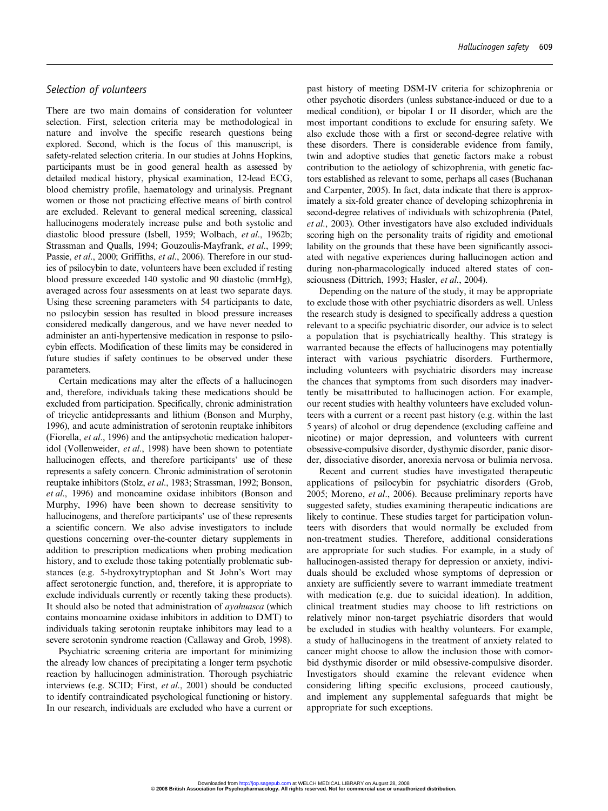There are two main domains of consideration for volunteer selection. First, selection criteria may be methodological in nature and involve the specific research questions being explored. Second, which is the focus of this manuscript, is safety-related selection criteria. In our studies at Johns Hopkins, participants must be in good general health as assessed by detailed medical history, physical examination, 12-lead ECG, blood chemistry profile, haematology and urinalysis. Pregnant women or those not practicing effective means of birth control are excluded. Relevant to general medical screening, classical hallucinogens moderately increase pulse and both systolic and diastolic blood pressure (Isbell, 1959; Wolbach, et al., 1962b; Strassman and Qualls, 1994; Gouzoulis-Mayfrank, et al., 1999; Passie, et al., 2000; Griffiths, et al., 2006). Therefore in our studies of psilocybin to date, volunteers have been excluded if resting blood pressure exceeded 140 systolic and 90 diastolic (mmHg), averaged across four assessments on at least two separate days. Using these screening parameters with 54 participants to date, no psilocybin session has resulted in blood pressure increases considered medically dangerous, and we have never needed to administer an anti-hypertensive medication in response to psilocybin effects. Modification of these limits may be considered in future studies if safety continues to be observed under these parameters.

Certain medications may alter the effects of a hallucinogen and, therefore, individuals taking these medications should be excluded from participation. Specifically, chronic administration of tricyclic antidepressants and lithium (Bonson and Murphy, 1996), and acute administration of serotonin reuptake inhibitors (Fiorella, et al., 1996) and the antipsychotic medication haloperidol (Vollenweider, et al., 1998) have been shown to potentiate hallucinogen effects, and therefore participants' use of these represents a safety concern. Chronic administration of serotonin reuptake inhibitors (Stolz, et al., 1983; Strassman, 1992; Bonson, et al., 1996) and monoamine oxidase inhibitors (Bonson and Murphy, 1996) have been shown to decrease sensitivity to hallucinogens, and therefore participants' use of these represents a scientific concern. We also advise investigators to include questions concerning over-the-counter dietary supplements in addition to prescription medications when probing medication history, and to exclude those taking potentially problematic substances (e.g. 5-hydroxytryptophan and St John's Wort may affect serotonergic function, and, therefore, it is appropriate to exclude individuals currently or recently taking these products). It should also be noted that administration of ayahuasca (which contains monoamine oxidase inhibitors in addition to DMT) to individuals taking serotonin reuptake inhibitors may lead to a severe serotonin syndrome reaction (Callaway and Grob, 1998).

Psychiatric screening criteria are important for minimizing the already low chances of precipitating a longer term psychotic reaction by hallucinogen administration. Thorough psychiatric interviews (e.g. SCID; First, et al., 2001) should be conducted to identify contraindicated psychological functioning or history. In our research, individuals are excluded who have a current or past history of meeting DSM-IV criteria for schizophrenia or other psychotic disorders (unless substance-induced or due to a medical condition), or bipolar I or II disorder, which are the most important conditions to exclude for ensuring safety. We also exclude those with a first or second-degree relative with these disorders. There is considerable evidence from family, twin and adoptive studies that genetic factors make a robust contribution to the aetiology of schizophrenia, with genetic factors established as relevant to some, perhaps all cases (Buchanan and Carpenter, 2005). In fact, data indicate that there is approximately a six-fold greater chance of developing schizophrenia in second-degree relatives of individuals with schizophrenia (Patel, et al., 2003). Other investigators have also excluded individuals scoring high on the personality traits of rigidity and emotional lability on the grounds that these have been significantly associated with negative experiences during hallucinogen action and during non-pharmacologically induced altered states of consciousness (Dittrich, 1993; Hasler, et al., 2004).

Depending on the nature of the study, it may be appropriate to exclude those with other psychiatric disorders as well. Unless the research study is designed to specifically address a question relevant to a specific psychiatric disorder, our advice is to select a population that is psychiatrically healthy. This strategy is warranted because the effects of hallucinogens may potentially interact with various psychiatric disorders. Furthermore, including volunteers with psychiatric disorders may increase the chances that symptoms from such disorders may inadvertently be misattributed to hallucinogen action. For example, our recent studies with healthy volunteers have excluded volunteers with a current or a recent past history (e.g. within the last 5 years) of alcohol or drug dependence (excluding caffeine and nicotine) or major depression, and volunteers with current obsessive-compulsive disorder, dysthymic disorder, panic disorder, dissociative disorder, anorexia nervosa or bulimia nervosa.

Recent and current studies have investigated therapeutic applications of psilocybin for psychiatric disorders (Grob, 2005; Moreno, et al., 2006). Because preliminary reports have suggested safety, studies examining therapeutic indications are likely to continue. These studies target for participation volunteers with disorders that would normally be excluded from non-treatment studies. Therefore, additional considerations are appropriate for such studies. For example, in a study of hallucinogen-assisted therapy for depression or anxiety, individuals should be excluded whose symptoms of depression or anxiety are sufficiently severe to warrant immediate treatment with medication (e.g. due to suicidal ideation). In addition, clinical treatment studies may choose to lift restrictions on relatively minor non-target psychiatric disorders that would be excluded in studies with healthy volunteers. For example, a study of hallucinogens in the treatment of anxiety related to cancer might choose to allow the inclusion those with comorbid dysthymic disorder or mild obsessive-compulsive disorder. Investigators should examine the relevant evidence when considering lifting specific exclusions, proceed cautiously, and implement any supplemental safeguards that might be appropriate for such exceptions.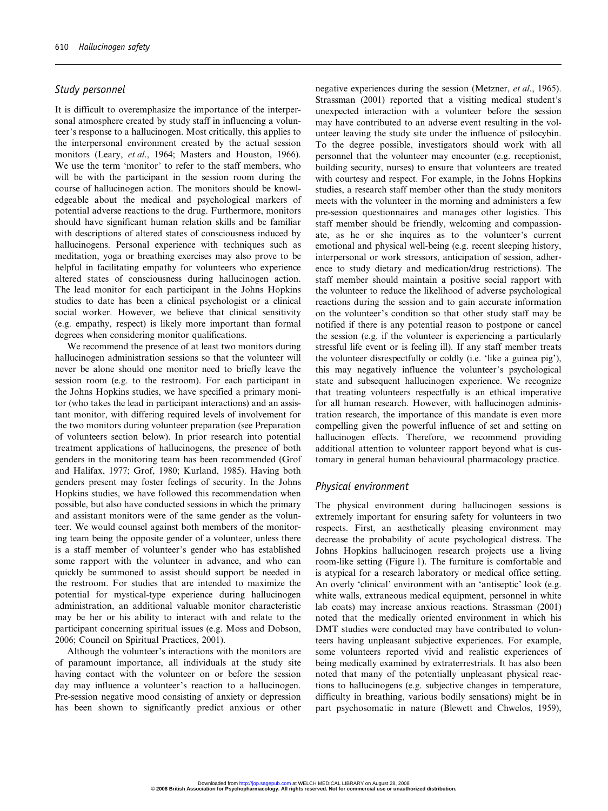### Study personnel

It is difficult to overemphasize the importance of the interpersonal atmosphere created by study staff in influencing a volunteer's response to a hallucinogen. Most critically, this applies to the interpersonal environment created by the actual session monitors (Leary, et al., 1964; Masters and Houston, 1966). We use the term 'monitor' to refer to the staff members, who will be with the participant in the session room during the course of hallucinogen action. The monitors should be knowledgeable about the medical and psychological markers of potential adverse reactions to the drug. Furthermore, monitors should have significant human relation skills and be familiar with descriptions of altered states of consciousness induced by hallucinogens. Personal experience with techniques such as meditation, yoga or breathing exercises may also prove to be helpful in facilitating empathy for volunteers who experience altered states of consciousness during hallucinogen action. The lead monitor for each participant in the Johns Hopkins studies to date has been a clinical psychologist or a clinical social worker. However, we believe that clinical sensitivity (e.g. empathy, respect) is likely more important than formal degrees when considering monitor qualifications.

We recommend the presence of at least two monitors during hallucinogen administration sessions so that the volunteer will never be alone should one monitor need to briefly leave the session room (e.g. to the restroom). For each participant in the Johns Hopkins studies, we have specified a primary monitor (who takes the lead in participant interactions) and an assistant monitor, with differing required levels of involvement for the two monitors during volunteer preparation (see Preparation of volunteers section below). In prior research into potential treatment applications of hallucinogens, the presence of both genders in the monitoring team has been recommended (Grof and Halifax, 1977; Grof, 1980; Kurland, 1985). Having both genders present may foster feelings of security. In the Johns Hopkins studies, we have followed this recommendation when possible, but also have conducted sessions in which the primary and assistant monitors were of the same gender as the volunteer. We would counsel against both members of the monitoring team being the opposite gender of a volunteer, unless there is a staff member of volunteer's gender who has established some rapport with the volunteer in advance, and who can quickly be summoned to assist should support be needed in the restroom. For studies that are intended to maximize the potential for mystical-type experience during hallucinogen administration, an additional valuable monitor characteristic may be her or his ability to interact with and relate to the participant concerning spiritual issues (e.g. Moss and Dobson, 2006; Council on Spiritual Practices, 2001).

Although the volunteer's interactions with the monitors are of paramount importance, all individuals at the study site having contact with the volunteer on or before the session day may influence a volunteer's reaction to a hallucinogen. Pre-session negative mood consisting of anxiety or depression has been shown to significantly predict anxious or other

negative experiences during the session (Metzner, *et al.*, 1965). Strassman (2001) reported that a visiting medical student's unexpected interaction with a volunteer before the session may have contributed to an adverse event resulting in the volunteer leaving the study site under the influence of psilocybin. To the degree possible, investigators should work with all personnel that the volunteer may encounter (e.g. receptionist, building security, nurses) to ensure that volunteers are treated with courtesy and respect. For example, in the Johns Hopkins studies, a research staff member other than the study monitors meets with the volunteer in the morning and administers a few pre-session questionnaires and manages other logistics. This staff member should be friendly, welcoming and compassionate, as he or she inquires as to the volunteer's current emotional and physical well-being (e.g. recent sleeping history, interpersonal or work stressors, anticipation of session, adherence to study dietary and medication/drug restrictions). The staff member should maintain a positive social rapport with the volunteer to reduce the likelihood of adverse psychological reactions during the session and to gain accurate information on the volunteer's condition so that other study staff may be notified if there is any potential reason to postpone or cancel the session (e.g. if the volunteer is experiencing a particularly stressful life event or is feeling ill). If any staff member treats the volunteer disrespectfully or coldly (i.e. 'like a guinea pig'), this may negatively influence the volunteer's psychological state and subsequent hallucinogen experience. We recognize that treating volunteers respectfully is an ethical imperative for all human research. However, with hallucinogen administration research, the importance of this mandate is even more compelling given the powerful influence of set and setting on hallucinogen effects. Therefore, we recommend providing additional attention to volunteer rapport beyond what is customary in general human behavioural pharmacology practice.

### Physical environment

The physical environment during hallucinogen sessions is extremely important for ensuring safety for volunteers in two respects. First, an aesthetically pleasing environment may decrease the probability of acute psychological distress. The Johns Hopkins hallucinogen research projects use a living room-like setting (Figure 1). The furniture is comfortable and is atypical for a research laboratory or medical office setting. An overly 'clinical' environment with an 'antiseptic' look (e.g. white walls, extraneous medical equipment, personnel in white lab coats) may increase anxious reactions. Strassman (2001) noted that the medically oriented environment in which his DMT studies were conducted may have contributed to volunteers having unpleasant subjective experiences. For example, some volunteers reported vivid and realistic experiences of being medically examined by extraterrestrials. It has also been noted that many of the potentially unpleasant physical reactions to hallucinogens (e.g. subjective changes in temperature, difficulty in breathing, various bodily sensations) might be in part psychosomatic in nature (Blewett and Chwelos, 1959),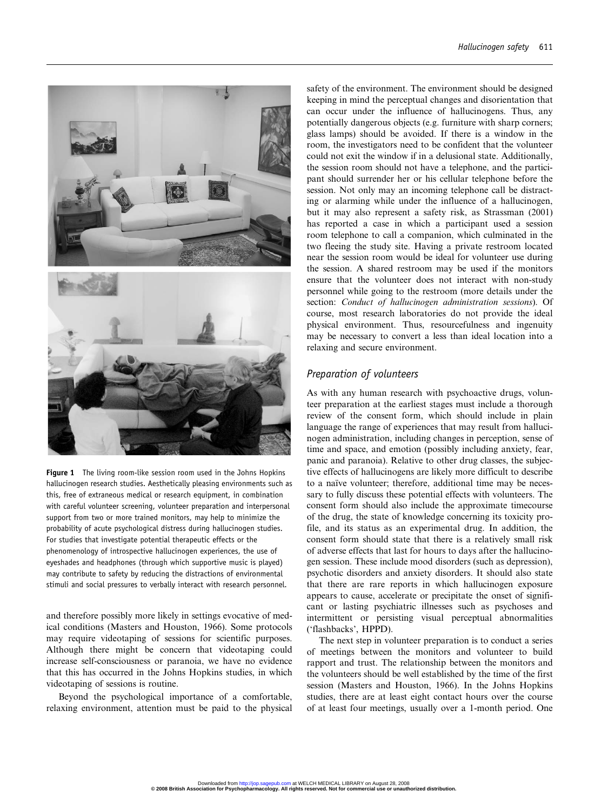

Figure 1 The living room-like session room used in the Johns Hopkins hallucinogen research studies. Aesthetically pleasing environments such as this, free of extraneous medical or research equipment, in combination with careful volunteer screening, volunteer preparation and interpersonal support from two or more trained monitors, may help to minimize the probability of acute psychological distress during hallucinogen studies. For studies that investigate potential therapeutic effects or the phenomenology of introspective hallucinogen experiences, the use of eyeshades and headphones (through which supportive music is played) may contribute to safety by reducing the distractions of environmental stimuli and social pressures to verbally interact with research personnel.

and therefore possibly more likely in settings evocative of medical conditions (Masters and Houston, 1966). Some protocols may require videotaping of sessions for scientific purposes. Although there might be concern that videotaping could increase self-consciousness or paranoia, we have no evidence that this has occurred in the Johns Hopkins studies, in which videotaping of sessions is routine.

Beyond the psychological importance of a comfortable, relaxing environment, attention must be paid to the physical safety of the environment. The environment should be designed keeping in mind the perceptual changes and disorientation that can occur under the influence of hallucinogens. Thus, any potentially dangerous objects (e.g. furniture with sharp corners; glass lamps) should be avoided. If there is a window in the room, the investigators need to be confident that the volunteer could not exit the window if in a delusional state. Additionally, the session room should not have a telephone, and the participant should surrender her or his cellular telephone before the session. Not only may an incoming telephone call be distracting or alarming while under the influence of a hallucinogen, but it may also represent a safety risk, as Strassman (2001) has reported a case in which a participant used a session room telephone to call a companion, which culminated in the two fleeing the study site. Having a private restroom located near the session room would be ideal for volunteer use during the session. A shared restroom may be used if the monitors ensure that the volunteer does not interact with non-study personnel while going to the restroom (more details under the section: Conduct of hallucinogen administration sessions). Of course, most research laboratories do not provide the ideal physical environment. Thus, resourcefulness and ingenuity may be necessary to convert a less than ideal location into a relaxing and secure environment.

## Preparation of volunteers

As with any human research with psychoactive drugs, volunteer preparation at the earliest stages must include a thorough review of the consent form, which should include in plain language the range of experiences that may result from hallucinogen administration, including changes in perception, sense of time and space, and emotion (possibly including anxiety, fear, panic and paranoia). Relative to other drug classes, the subjective effects of hallucinogens are likely more difficult to describe to a naïve volunteer; therefore, additional time may be necessary to fully discuss these potential effects with volunteers. The consent form should also include the approximate timecourse of the drug, the state of knowledge concerning its toxicity profile, and its status as an experimental drug. In addition, the consent form should state that there is a relatively small risk of adverse effects that last for hours to days after the hallucinogen session. These include mood disorders (such as depression), psychotic disorders and anxiety disorders. It should also state that there are rare reports in which hallucinogen exposure appears to cause, accelerate or precipitate the onset of significant or lasting psychiatric illnesses such as psychoses and intermittent or persisting visual perceptual abnormalities ('flashbacks', HPPD).

The next step in volunteer preparation is to conduct a series of meetings between the monitors and volunteer to build rapport and trust. The relationship between the monitors and the volunteers should be well established by the time of the first session (Masters and Houston, 1966). In the Johns Hopkins studies, there are at least eight contact hours over the course of at least four meetings, usually over a 1-month period. One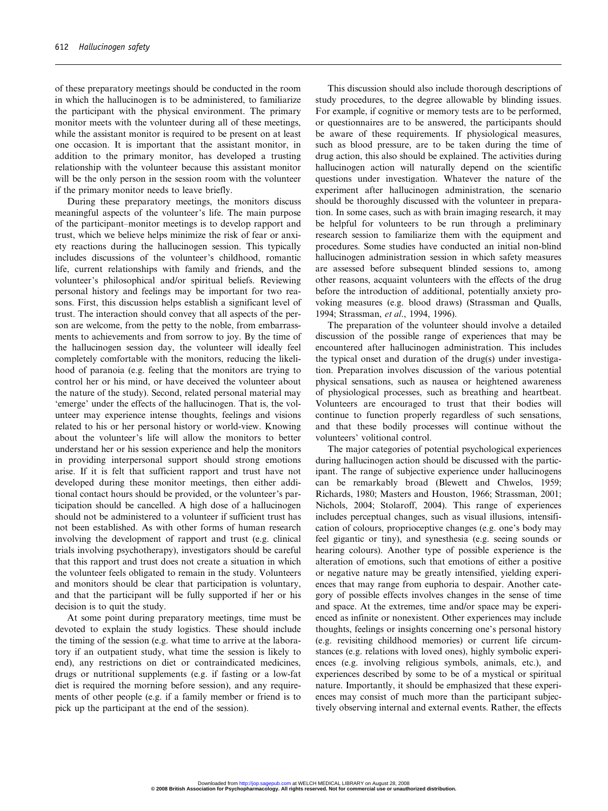of these preparatory meetings should be conducted in the room in which the hallucinogen is to be administered, to familiarize the participant with the physical environment. The primary monitor meets with the volunteer during all of these meetings, while the assistant monitor is required to be present on at least one occasion. It is important that the assistant monitor, in addition to the primary monitor, has developed a trusting relationship with the volunteer because this assistant monitor will be the only person in the session room with the volunteer if the primary monitor needs to leave briefly.

During these preparatory meetings, the monitors discuss meaningful aspects of the volunteer's life. The main purpose of the participant–monitor meetings is to develop rapport and trust, which we believe helps minimize the risk of fear or anxiety reactions during the hallucinogen session. This typically includes discussions of the volunteer's childhood, romantic life, current relationships with family and friends, and the volunteer's philosophical and/or spiritual beliefs. Reviewing personal history and feelings may be important for two reasons. First, this discussion helps establish a significant level of trust. The interaction should convey that all aspects of the person are welcome, from the petty to the noble, from embarrassments to achievements and from sorrow to joy. By the time of the hallucinogen session day, the volunteer will ideally feel completely comfortable with the monitors, reducing the likelihood of paranoia (e.g. feeling that the monitors are trying to control her or his mind, or have deceived the volunteer about the nature of the study). Second, related personal material may 'emerge' under the effects of the hallucinogen. That is, the volunteer may experience intense thoughts, feelings and visions related to his or her personal history or world-view. Knowing about the volunteer's life will allow the monitors to better understand her or his session experience and help the monitors in providing interpersonal support should strong emotions arise. If it is felt that sufficient rapport and trust have not developed during these monitor meetings, then either additional contact hours should be provided, or the volunteer's participation should be cancelled. A high dose of a hallucinogen should not be administered to a volunteer if sufficient trust has not been established. As with other forms of human research involving the development of rapport and trust (e.g. clinical trials involving psychotherapy), investigators should be careful that this rapport and trust does not create a situation in which the volunteer feels obligated to remain in the study. Volunteers and monitors should be clear that participation is voluntary, and that the participant will be fully supported if her or his decision is to quit the study.

At some point during preparatory meetings, time must be devoted to explain the study logistics. These should include the timing of the session (e.g. what time to arrive at the laboratory if an outpatient study, what time the session is likely to end), any restrictions on diet or contraindicated medicines, drugs or nutritional supplements (e.g. if fasting or a low-fat diet is required the morning before session), and any requirements of other people (e.g. if a family member or friend is to pick up the participant at the end of the session).

This discussion should also include thorough descriptions of study procedures, to the degree allowable by blinding issues. For example, if cognitive or memory tests are to be performed, or questionnaires are to be answered, the participants should be aware of these requirements. If physiological measures, such as blood pressure, are to be taken during the time of drug action, this also should be explained. The activities during hallucinogen action will naturally depend on the scientific questions under investigation. Whatever the nature of the experiment after hallucinogen administration, the scenario should be thoroughly discussed with the volunteer in preparation. In some cases, such as with brain imaging research, it may be helpful for volunteers to be run through a preliminary research session to familiarize them with the equipment and procedures. Some studies have conducted an initial non-blind hallucinogen administration session in which safety measures are assessed before subsequent blinded sessions to, among other reasons, acquaint volunteers with the effects of the drug before the introduction of additional, potentially anxiety provoking measures (e.g. blood draws) (Strassman and Qualls, 1994; Strassman, et al., 1994, 1996).

The preparation of the volunteer should involve a detailed discussion of the possible range of experiences that may be encountered after hallucinogen administration. This includes the typical onset and duration of the drug(s) under investigation. Preparation involves discussion of the various potential physical sensations, such as nausea or heightened awareness of physiological processes, such as breathing and heartbeat. Volunteers are encouraged to trust that their bodies will continue to function properly regardless of such sensations, and that these bodily processes will continue without the volunteers' volitional control.

The major categories of potential psychological experiences during hallucinogen action should be discussed with the participant. The range of subjective experience under hallucinogens can be remarkably broad (Blewett and Chwelos, 1959; Richards, 1980; Masters and Houston, 1966; Strassman, 2001; Nichols, 2004; Stolaroff, 2004). This range of experiences includes perceptual changes, such as visual illusions, intensification of colours, proprioceptive changes (e.g. one's body may feel gigantic or tiny), and synesthesia (e.g. seeing sounds or hearing colours). Another type of possible experience is the alteration of emotions, such that emotions of either a positive or negative nature may be greatly intensified, yielding experiences that may range from euphoria to despair. Another category of possible effects involves changes in the sense of time and space. At the extremes, time and/or space may be experienced as infinite or nonexistent. Other experiences may include thoughts, feelings or insights concerning one's personal history (e.g. revisiting childhood memories) or current life circumstances (e.g. relations with loved ones), highly symbolic experiences (e.g. involving religious symbols, animals, etc.), and experiences described by some to be of a mystical or spiritual nature. Importantly, it should be emphasized that these experiences may consist of much more than the participant subjectively observing internal and external events. Rather, the effects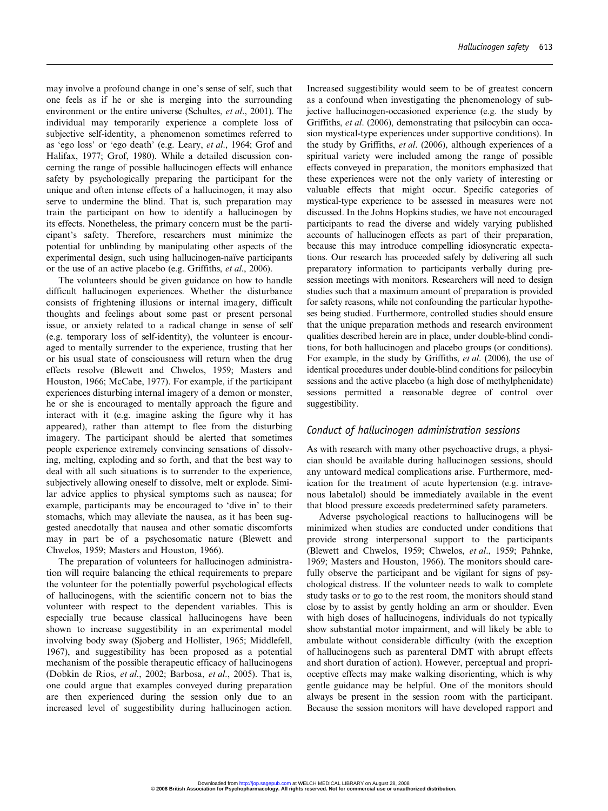may involve a profound change in one's sense of self, such that one feels as if he or she is merging into the surrounding environment or the entire universe (Schultes, et al., 2001). The individual may temporarily experience a complete loss of subjective self-identity, a phenomenon sometimes referred to as 'ego loss' or 'ego death' (e.g. Leary, et al., 1964; Grof and Halifax, 1977; Grof, 1980). While a detailed discussion concerning the range of possible hallucinogen effects will enhance safety by psychologically preparing the participant for the unique and often intense effects of a hallucinogen, it may also serve to undermine the blind. That is, such preparation may train the participant on how to identify a hallucinogen by its effects. Nonetheless, the primary concern must be the participant's safety. Therefore, researchers must minimize the potential for unblinding by manipulating other aspects of the experimental design, such using hallucinogen-naïve participants or the use of an active placebo (e.g. Griffiths, et al., 2006).

The volunteers should be given guidance on how to handle difficult hallucinogen experiences. Whether the disturbance consists of frightening illusions or internal imagery, difficult thoughts and feelings about some past or present personal issue, or anxiety related to a radical change in sense of self (e.g. temporary loss of self-identity), the volunteer is encouraged to mentally surrender to the experience, trusting that her or his usual state of consciousness will return when the drug effects resolve (Blewett and Chwelos, 1959; Masters and Houston, 1966; McCabe, 1977). For example, if the participant experiences disturbing internal imagery of a demon or monster, he or she is encouraged to mentally approach the figure and interact with it (e.g. imagine asking the figure why it has appeared), rather than attempt to flee from the disturbing imagery. The participant should be alerted that sometimes people experience extremely convincing sensations of dissolving, melting, exploding and so forth, and that the best way to deal with all such situations is to surrender to the experience, subjectively allowing oneself to dissolve, melt or explode. Similar advice applies to physical symptoms such as nausea; for example, participants may be encouraged to 'dive in' to their stomachs, which may alleviate the nausea, as it has been suggested anecdotally that nausea and other somatic discomforts may in part be of a psychosomatic nature (Blewett and Chwelos, 1959; Masters and Houston, 1966).

The preparation of volunteers for hallucinogen administration will require balancing the ethical requirements to prepare the volunteer for the potentially powerful psychological effects of hallucinogens, with the scientific concern not to bias the volunteer with respect to the dependent variables. This is especially true because classical hallucinogens have been shown to increase suggestibility in an experimental model involving body sway (Sjoberg and Hollister, 1965; Middlefell, 1967), and suggestibility has been proposed as a potential mechanism of the possible therapeutic efficacy of hallucinogens (Dobkin de Rios, et al., 2002; Barbosa, et al., 2005). That is, one could argue that examples conveyed during preparation are then experienced during the session only due to an increased level of suggestibility during hallucinogen action.

Increased suggestibility would seem to be of greatest concern as a confound when investigating the phenomenology of subjective hallucinogen-occasioned experience (e.g. the study by Griffiths, et al. (2006), demonstrating that psilocybin can occasion mystical-type experiences under supportive conditions). In the study by Griffiths, et al. (2006), although experiences of a spiritual variety were included among the range of possible effects conveyed in preparation, the monitors emphasized that these experiences were not the only variety of interesting or valuable effects that might occur. Specific categories of mystical-type experience to be assessed in measures were not discussed. In the Johns Hopkins studies, we have not encouraged participants to read the diverse and widely varying published accounts of hallucinogen effects as part of their preparation, because this may introduce compelling idiosyncratic expectations. Our research has proceeded safely by delivering all such preparatory information to participants verbally during presession meetings with monitors. Researchers will need to design studies such that a maximum amount of preparation is provided for safety reasons, while not confounding the particular hypotheses being studied. Furthermore, controlled studies should ensure that the unique preparation methods and research environment qualities described herein are in place, under double-blind conditions, for both hallucinogen and placebo groups (or conditions). For example, in the study by Griffiths, et al. (2006), the use of identical procedures under double-blind conditions for psilocybin sessions and the active placebo (a high dose of methylphenidate) sessions permitted a reasonable degree of control over suggestibility.

### Conduct of hallucinogen administration sessions

As with research with many other psychoactive drugs, a physician should be available during hallucinogen sessions, should any untoward medical complications arise. Furthermore, medication for the treatment of acute hypertension (e.g. intravenous labetalol) should be immediately available in the event that blood pressure exceeds predetermined safety parameters.

Adverse psychological reactions to hallucinogens will be minimized when studies are conducted under conditions that provide strong interpersonal support to the participants (Blewett and Chwelos, 1959; Chwelos, et al., 1959; Pahnke, 1969; Masters and Houston, 1966). The monitors should carefully observe the participant and be vigilant for signs of psychological distress. If the volunteer needs to walk to complete study tasks or to go to the rest room, the monitors should stand close by to assist by gently holding an arm or shoulder. Even with high doses of hallucinogens, individuals do not typically show substantial motor impairment, and will likely be able to ambulate without considerable difficulty (with the exception of hallucinogens such as parenteral DMT with abrupt effects and short duration of action). However, perceptual and proprioceptive effects may make walking disorienting, which is why gentle guidance may be helpful. One of the monitors should always be present in the session room with the participant. Because the session monitors will have developed rapport and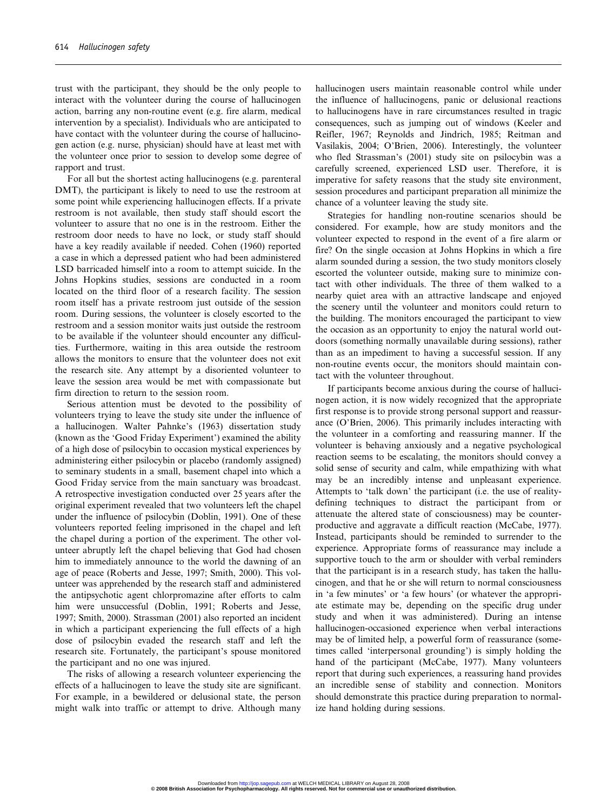trust with the participant, they should be the only people to interact with the volunteer during the course of hallucinogen action, barring any non-routine event (e.g. fire alarm, medical intervention by a specialist). Individuals who are anticipated to have contact with the volunteer during the course of hallucinogen action (e.g. nurse, physician) should have at least met with the volunteer once prior to session to develop some degree of rapport and trust.

For all but the shortest acting hallucinogens (e.g. parenteral DMT), the participant is likely to need to use the restroom at some point while experiencing hallucinogen effects. If a private restroom is not available, then study staff should escort the volunteer to assure that no one is in the restroom. Either the restroom door needs to have no lock, or study staff should have a key readily available if needed. Cohen (1960) reported a case in which a depressed patient who had been administered LSD barricaded himself into a room to attempt suicide. In the Johns Hopkins studies, sessions are conducted in a room located on the third floor of a research facility. The session room itself has a private restroom just outside of the session room. During sessions, the volunteer is closely escorted to the restroom and a session monitor waits just outside the restroom to be available if the volunteer should encounter any difficulties. Furthermore, waiting in this area outside the restroom allows the monitors to ensure that the volunteer does not exit the research site. Any attempt by a disoriented volunteer to leave the session area would be met with compassionate but firm direction to return to the session room.

Serious attention must be devoted to the possibility of volunteers trying to leave the study site under the influence of a hallucinogen. Walter Pahnke's (1963) dissertation study (known as the 'Good Friday Experiment') examined the ability of a high dose of psilocybin to occasion mystical experiences by administering either psilocybin or placebo (randomly assigned) to seminary students in a small, basement chapel into which a Good Friday service from the main sanctuary was broadcast. A retrospective investigation conducted over 25 years after the original experiment revealed that two volunteers left the chapel under the influence of psilocybin (Doblin, 1991). One of these volunteers reported feeling imprisoned in the chapel and left the chapel during a portion of the experiment. The other volunteer abruptly left the chapel believing that God had chosen him to immediately announce to the world the dawning of an age of peace (Roberts and Jesse, 1997; Smith, 2000). This volunteer was apprehended by the research staff and administered the antipsychotic agent chlorpromazine after efforts to calm him were unsuccessful (Doblin, 1991; Roberts and Jesse, 1997; Smith, 2000). Strassman (2001) also reported an incident in which a participant experiencing the full effects of a high dose of psilocybin evaded the research staff and left the research site. Fortunately, the participant's spouse monitored the participant and no one was injured.

The risks of allowing a research volunteer experiencing the effects of a hallucinogen to leave the study site are significant. For example, in a bewildered or delusional state, the person might walk into traffic or attempt to drive. Although many

hallucinogen users maintain reasonable control while under the influence of hallucinogens, panic or delusional reactions to hallucinogens have in rare circumstances resulted in tragic consequences, such as jumping out of windows (Keeler and Reifler, 1967; Reynolds and Jindrich, 1985; Reitman and Vasilakis, 2004; O'Brien, 2006). Interestingly, the volunteer who fled Strassman's (2001) study site on psilocybin was a carefully screened, experienced LSD user. Therefore, it is imperative for safety reasons that the study site environment, session procedures and participant preparation all minimize the chance of a volunteer leaving the study site.

Strategies for handling non-routine scenarios should be considered. For example, how are study monitors and the volunteer expected to respond in the event of a fire alarm or fire? On the single occasion at Johns Hopkins in which a fire alarm sounded during a session, the two study monitors closely escorted the volunteer outside, making sure to minimize contact with other individuals. The three of them walked to a nearby quiet area with an attractive landscape and enjoyed the scenery until the volunteer and monitors could return to the building. The monitors encouraged the participant to view the occasion as an opportunity to enjoy the natural world outdoors (something normally unavailable during sessions), rather than as an impediment to having a successful session. If any non-routine events occur, the monitors should maintain contact with the volunteer throughout.

If participants become anxious during the course of hallucinogen action, it is now widely recognized that the appropriate first response is to provide strong personal support and reassurance (O'Brien, 2006). This primarily includes interacting with the volunteer in a comforting and reassuring manner. If the volunteer is behaving anxiously and a negative psychological reaction seems to be escalating, the monitors should convey a solid sense of security and calm, while empathizing with what may be an incredibly intense and unpleasant experience. Attempts to 'talk down' the participant (i.e. the use of realitydefining techniques to distract the participant from or attenuate the altered state of consciousness) may be counterproductive and aggravate a difficult reaction (McCabe, 1977). Instead, participants should be reminded to surrender to the experience. Appropriate forms of reassurance may include a supportive touch to the arm or shoulder with verbal reminders that the participant is in a research study, has taken the hallucinogen, and that he or she will return to normal consciousness in 'a few minutes' or 'a few hours' (or whatever the appropriate estimate may be, depending on the specific drug under study and when it was administered). During an intense hallucinogen-occasioned experience when verbal interactions may be of limited help, a powerful form of reassurance (sometimes called 'interpersonal grounding') is simply holding the hand of the participant (McCabe, 1977). Many volunteers report that during such experiences, a reassuring hand provides an incredible sense of stability and connection. Monitors should demonstrate this practice during preparation to normalize hand holding during sessions.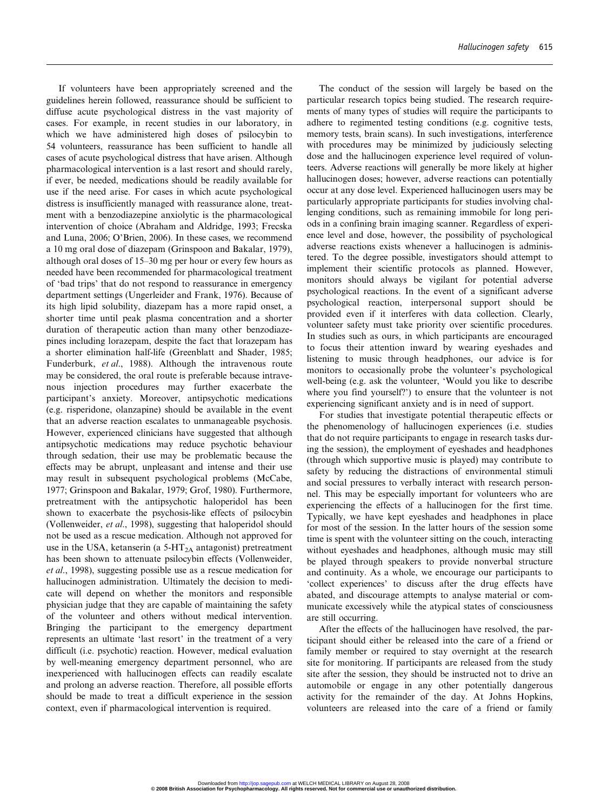If volunteers have been appropriately screened and the guidelines herein followed, reassurance should be sufficient to diffuse acute psychological distress in the vast majority of cases. For example, in recent studies in our laboratory, in which we have administered high doses of psilocybin to 54 volunteers, reassurance has been sufficient to handle all cases of acute psychological distress that have arisen. Although pharmacological intervention is a last resort and should rarely, if ever, be needed, medications should be readily available for use if the need arise. For cases in which acute psychological distress is insufficiently managed with reassurance alone, treatment with a benzodiazepine anxiolytic is the pharmacological intervention of choice (Abraham and Aldridge, 1993; Frecska and Luna, 2006; O'Brien, 2006). In these cases, we recommend a 10 mg oral dose of diazepam (Grinspoon and Bakalar, 1979), although oral doses of 15–30 mg per hour or every few hours as needed have been recommended for pharmacological treatment of 'bad trips' that do not respond to reassurance in emergency department settings (Ungerleider and Frank, 1976). Because of its high lipid solubility, diazepam has a more rapid onset, a shorter time until peak plasma concentration and a shorter duration of therapeutic action than many other benzodiazepines including lorazepam, despite the fact that lorazepam has a shorter elimination half-life (Greenblatt and Shader, 1985; Funderburk, et al., 1988). Although the intravenous route may be considered, the oral route is preferable because intravenous injection procedures may further exacerbate the participant's anxiety. Moreover, antipsychotic medications (e.g. risperidone, olanzapine) should be available in the event that an adverse reaction escalates to unmanageable psychosis. However, experienced clinicians have suggested that although antipsychotic medications may reduce psychotic behaviour through sedation, their use may be problematic because the effects may be abrupt, unpleasant and intense and their use may result in subsequent psychological problems (McCabe, 1977; Grinspoon and Bakalar, 1979; Grof, 1980). Furthermore, pretreatment with the antipsychotic haloperidol has been shown to exacerbate the psychosis-like effects of psilocybin (Vollenweider, et al., 1998), suggesting that haloperidol should not be used as a rescue medication. Although not approved for use in the USA, ketanserin (a  $5-HT_{2A}$  antagonist) pretreatment has been shown to attenuate psilocybin effects (Vollenweider, et al., 1998), suggesting possible use as a rescue medication for hallucinogen administration. Ultimately the decision to medicate will depend on whether the monitors and responsible physician judge that they are capable of maintaining the safety of the volunteer and others without medical intervention. Bringing the participant to the emergency department represents an ultimate 'last resort' in the treatment of a very difficult (i.e. psychotic) reaction. However, medical evaluation by well-meaning emergency department personnel, who are inexperienced with hallucinogen effects can readily escalate and prolong an adverse reaction. Therefore, all possible efforts should be made to treat a difficult experience in the session context, even if pharmacological intervention is required.

The conduct of the session will largely be based on the particular research topics being studied. The research requirements of many types of studies will require the participants to adhere to regimented testing conditions (e.g. cognitive tests, memory tests, brain scans). In such investigations, interference with procedures may be minimized by judiciously selecting dose and the hallucinogen experience level required of volunteers. Adverse reactions will generally be more likely at higher hallucinogen doses; however, adverse reactions can potentially occur at any dose level. Experienced hallucinogen users may be particularly appropriate participants for studies involving challenging conditions, such as remaining immobile for long periods in a confining brain imaging scanner. Regardless of experience level and dose, however, the possibility of psychological adverse reactions exists whenever a hallucinogen is administered. To the degree possible, investigators should attempt to implement their scientific protocols as planned. However, monitors should always be vigilant for potential adverse psychological reactions. In the event of a significant adverse psychological reaction, interpersonal support should be provided even if it interferes with data collection. Clearly, volunteer safety must take priority over scientific procedures. In studies such as ours, in which participants are encouraged to focus their attention inward by wearing eyeshades and listening to music through headphones, our advice is for monitors to occasionally probe the volunteer's psychological well-being (e.g. ask the volunteer, 'Would you like to describe where you find yourself?') to ensure that the volunteer is not experiencing significant anxiety and is in need of support.

For studies that investigate potential therapeutic effects or the phenomenology of hallucinogen experiences (i.e. studies that do not require participants to engage in research tasks during the session), the employment of eyeshades and headphones (through which supportive music is played) may contribute to safety by reducing the distractions of environmental stimuli and social pressures to verbally interact with research personnel. This may be especially important for volunteers who are experiencing the effects of a hallucinogen for the first time. Typically, we have kept eyeshades and headphones in place for most of the session. In the latter hours of the session some time is spent with the volunteer sitting on the couch, interacting without eyeshades and headphones, although music may still be played through speakers to provide nonverbal structure and continuity. As a whole, we encourage our participants to 'collect experiences' to discuss after the drug effects have abated, and discourage attempts to analyse material or communicate excessively while the atypical states of consciousness are still occurring.

After the effects of the hallucinogen have resolved, the participant should either be released into the care of a friend or family member or required to stay overnight at the research site for monitoring. If participants are released from the study site after the session, they should be instructed not to drive an automobile or engage in any other potentially dangerous activity for the remainder of the day. At Johns Hopkins, volunteers are released into the care of a friend or family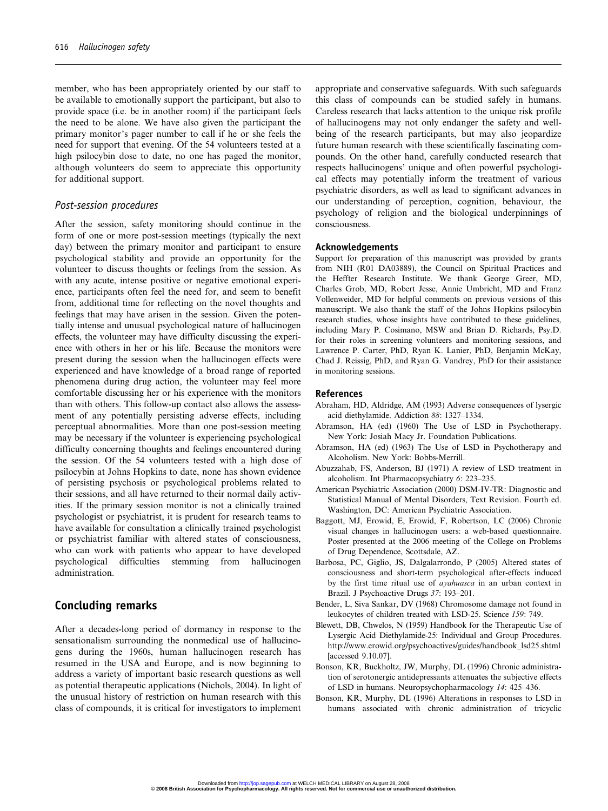member, who has been appropriately oriented by our staff to be available to emotionally support the participant, but also to provide space (i.e. be in another room) if the participant feels the need to be alone. We have also given the participant the primary monitor's pager number to call if he or she feels the need for support that evening. Of the 54 volunteers tested at a high psilocybin dose to date, no one has paged the monitor, although volunteers do seem to appreciate this opportunity for additional support.

#### Post-session procedures

After the session, safety monitoring should continue in the form of one or more post-session meetings (typically the next day) between the primary monitor and participant to ensure psychological stability and provide an opportunity for the volunteer to discuss thoughts or feelings from the session. As with any acute, intense positive or negative emotional experience, participants often feel the need for, and seem to benefit from, additional time for reflecting on the novel thoughts and feelings that may have arisen in the session. Given the potentially intense and unusual psychological nature of hallucinogen effects, the volunteer may have difficulty discussing the experience with others in her or his life. Because the monitors were present during the session when the hallucinogen effects were experienced and have knowledge of a broad range of reported phenomena during drug action, the volunteer may feel more comfortable discussing her or his experience with the monitors than with others. This follow-up contact also allows the assessment of any potentially persisting adverse effects, including perceptual abnormalities. More than one post-session meeting may be necessary if the volunteer is experiencing psychological difficulty concerning thoughts and feelings encountered during the session. Of the 54 volunteers tested with a high dose of psilocybin at Johns Hopkins to date, none has shown evidence of persisting psychosis or psychological problems related to their sessions, and all have returned to their normal daily activities. If the primary session monitor is not a clinically trained psychologist or psychiatrist, it is prudent for research teams to have available for consultation a clinically trained psychologist or psychiatrist familiar with altered states of consciousness, who can work with patients who appear to have developed psychological difficulties stemming from hallucinogen administration.

# Concluding remarks

After a decades-long period of dormancy in response to the sensationalism surrounding the nonmedical use of hallucinogens during the 1960s, human hallucinogen research has resumed in the USA and Europe, and is now beginning to address a variety of important basic research questions as well as potential therapeutic applications (Nichols, 2004). In light of the unusual history of restriction on human research with this class of compounds, it is critical for investigators to implement appropriate and conservative safeguards. With such safeguards this class of compounds can be studied safely in humans. Careless research that lacks attention to the unique risk profile of hallucinogens may not only endanger the safety and wellbeing of the research participants, but may also jeopardize future human research with these scientifically fascinating compounds. On the other hand, carefully conducted research that respects hallucinogens' unique and often powerful psychological effects may potentially inform the treatment of various psychiatric disorders, as well as lead to significant advances in our understanding of perception, cognition, behaviour, the psychology of religion and the biological underpinnings of consciousness.

#### Acknowledgements

Support for preparation of this manuscript was provided by grants from NIH (R01 DA03889), the Council on Spiritual Practices and the Heffter Research Institute. We thank George Greer, MD, Charles Grob, MD, Robert Jesse, Annie Umbricht, MD and Franz Vollenweider, MD for helpful comments on previous versions of this manuscript. We also thank the staff of the Johns Hopkins psilocybin research studies, whose insights have contributed to these guidelines, including Mary P. Cosimano, MSW and Brian D. Richards, Psy.D. for their roles in screening volunteers and monitoring sessions, and Lawrence P. Carter, PhD, Ryan K. Lanier, PhD, Benjamin McKay, Chad J. Reissig, PhD, and Ryan G. Vandrey, PhD for their assistance in monitoring sessions.

#### References

- Abraham, HD, Aldridge, AM (1993) Adverse consequences of lysergic acid diethylamide. Addiction 88: 1327–1334.
- Abramson, HA (ed) (1960) The Use of LSD in Psychotherapy. New York: Josiah Macy Jr. Foundation Publications.
- Abramson, HA (ed) (1963) The Use of LSD in Psychotherapy and Alcoholism. New York: Bobbs-Merrill.
- Abuzzahab, FS, Anderson, BJ (1971) A review of LSD treatment in alcoholism. Int Pharmacopsychiatry 6: 223–235.
- American Psychiatric Association (2000) DSM-IV-TR: Diagnostic and Statistical Manual of Mental Disorders, Text Revision. Fourth ed. Washington, DC: American Psychiatric Association.
- Baggott, MJ, Erowid, E, Erowid, F, Robertson, LC (2006) Chronic visual changes in hallucinogen users: a web-based questionnaire. Poster presented at the 2006 meeting of the College on Problems of Drug Dependence, Scottsdale, AZ.
- Barbosa, PC, Giglio, JS, Dalgalarrondo, P (2005) Altered states of consciousness and short-term psychological after-effects induced by the first time ritual use of ayahuasca in an urban context in Brazil. J Psychoactive Drugs 37: 193–201.
- Bender, L, Siva Sankar, DV (1968) Chromosome damage not found in leukocytes of children treated with LSD-25. Science 159: 749.
- Blewett, DB, Chwelos, N (1959) Handbook for the Therapeutic Use of Lysergic Acid Diethylamide-25: Individual and Group Procedures. http://www.erowid.org/psychoactives/guides/handbook\_lsd25.shtml [accessed 9.10.07].
- Bonson, KR, Buckholtz, JW, Murphy, DL (1996) Chronic administration of serotonergic antidepressants attenuates the subjective effects of LSD in humans. Neuropsychopharmacology 14: 425–436.
- Bonson, KR, Murphy, DL (1996) Alterations in responses to LSD in humans associated with chronic administration of tricyclic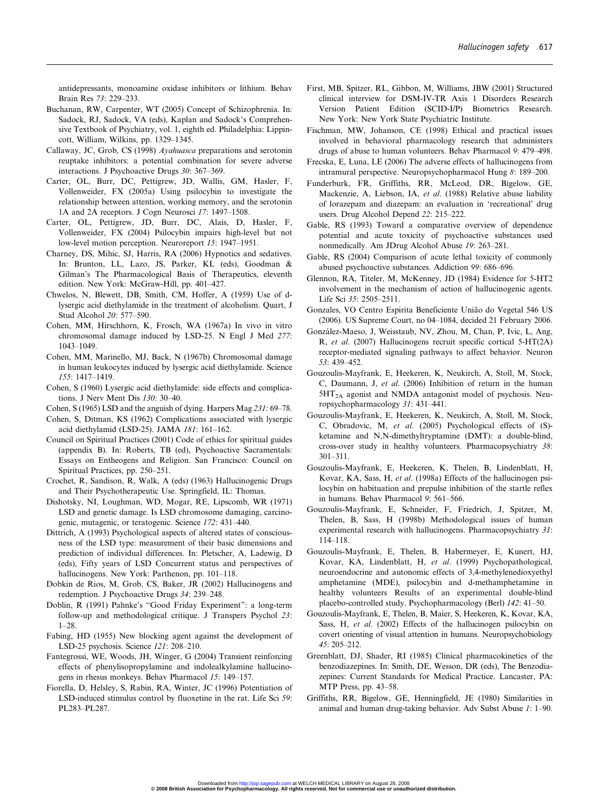antidepressants, monoamine oxidase inhibitors or lithium. Behav Brain Res 73: 229–233.

- Buchanan, RW, Carpenter, WT (2005) Concept of Schizophrenia. In: Sadock, RJ, Sadock, VA (eds), Kaplan and Sadock's Comprehensive Textbook of Psychiatry, vol. 1, eighth ed. Philadelphia: Lippincott, William, Wilkins, pp. 1329–1345.
- Callaway, JC, Grob, CS (1998) Ayahuasca preparations and serotonin reuptake inhibitors: a potential combination for severe adverse interactions. J Psychoactive Drugs 30: 367–369.
- Carter, OL, Burr, DC, Pettigrew, JD, Wallis, GM, Hasler, F, Vollenweider, FX (2005a) Using psilocybin to investigate the relationship between attention, working memory, and the serotonin 1A and 2A receptors. J Cogn Neurosci 17: 1497–1508.
- Carter, OL, Pettigrew, JD, Burr, DC, Alais, D, Hasler, F, Vollenweider, FX (2004) Psilocybin impairs high-level but not low-level motion perception. Neuroreport 15: 1947–1951.
- Charney, DS, Mihic, SJ, Harris, RA (2006) Hypnotics and sedatives. In: Brunton, LL, Lazo, JS, Parker, KL (eds), Goodman & Gilman's The Pharmacological Basis of Therapeutics, eleventh edition. New York: McGraw-Hill, pp. 401–427.
- Chwelos, N, Blewett, DB, Smith, CM, Hoffer, A (1959) Use of dlysergic acid diethylamide in the treatment of alcoholism. Quart, J Stud Alcohol 20: 577–590.
- Cohen, MM, Hirschhorn, K, Frosch, WA (1967a) In vivo in vitro chromosomal damage induced by LSD-25. N Engl J Med 277: 1043–1049.
- Cohen, MM, Marinello, MJ, Back, N (1967b) Chromosomal damage in human leukocytes induced by lysergic acid diethylamide. Science 155: 1417–1419.
- Cohen, S (1960) Lysergic acid diethylamide: side effects and complications. J Nerv Ment Dis 130: 30–40.
- Cohen, S (1965) LSD and the anguish of dying. Harpers Mag 231: 69–78.
- Cohen, S, Ditman, KS (1962) Complications associated with lysergic acid diethylamid (LSD-25). JAMA 181: 161–162.
- Council on Spiritual Practices (2001) Code of ethics for spiritual guides (appendix B). In: Roberts, TB (ed), Psychoactive Sacramentals: Essays on Entheogens and Religion. San Francisco: Council on Spiritual Practices, pp. 250–251.
- Crochet, R, Sandison, R, Walk, A (eds) (1963) Hallucinogenic Drugs and Their Psychotherapeutic Use. Springfield, IL: Thomas.
- Dishotsky, NI, Loughman, WD, Mogar, RE, Lipscomb, WR (1971) LSD and genetic damage. Is LSD chromosome damaging, carcinogenic, mutagenic, or teratogenic. Science 172: 431–440.
- Dittrich, A (1993) Psychological aspects of altered states of consciousness of the LSD type: measurement of their basic dimensions and prediction of individual differences. In: Pletscher, A, Ladewig, D (eds), Fifty years of LSD Concurrent status and perspectives of hallucinogens. New York: Parthenon, pp. 101-118.
- Dobkin de Rios, M, Grob, CS, Baker, JR (2002) Hallucinogens and redemption. J Psychoactive Drugs 34: 239–248.
- Doblin, R (1991) Pahnke's "Good Friday Experiment": a long-term follow-up and methodological critique. J Transpers Psychol 23: 1–28.
- Fabing, HD (1955) New blocking agent against the development of LSD-25 psychosis. Science 121: 208–210.
- Fantegrossi, WE, Woods, JH, Winger, G (2004) Transient reinforcing effects of phenylisopropylamine and indolealkylamine hallucinogens in rhesus monkeys. Behav Pharmacol 15: 149–157.
- Fiorella, D, Helsley, S, Rabin, RA, Winter, JC (1996) Potentiation of LSD-induced stimulus control by fluoxetine in the rat. Life Sci 59: PL283–PL287.
- First, MB, Spitzer, RL, Gibbon, M, Williams, JBW (2001) Structured clinical interview for DSM-IV-TR Axis 1 Disorders Research Version Patient Edition (SCID-I/P) Biometrics Research. New York: New York State Psychiatric Institute.
- Fischman, MW, Johanson, CE (1998) Ethical and practical issues involved in behavioral pharmacology research that administers drugs of abuse to human volunteers. Behav Pharmacol 9: 479–498.
- Frecska, E, Luna, LE (2006) The adverse effects of hallucinogens from intramural perspective. Neuropsychopharmacol Hung 8: 189–200.
- Funderburk, FR, Griffiths, RR, McLeod, DR, Bigelow, GE, Mackenzie, A, Liebson, IA, et al. (1988) Relative abuse liability of lorazepam and diazepam: an evaluation in 'recreational' drug users. Drug Alcohol Depend 22: 215–222.
- Gable, RS (1993) Toward a comparative overview of dependence potential and acute toxicity of psychoactive substances used nonmedically. Am JDrug Alcohol Abuse 19: 263–281.
- Gable, RS (2004) Comparison of acute lethal toxicity of commonly abused psychoactive substances. Addiction 99: 686–696.
- Glennon, RA, Titeler, M, McKenney, JD (1984) Evidence for 5-HT2 involvement in the mechanism of action of hallucinogenic agents. Life Sci 35: 2505–2511.
- Gonzales, VO Centro Espirita Beneficiente União do Vegetal 546 US (2006). US Supreme Court, no 04–1084, decided 21 February 2006.
- González-Maeso, J, Weisstaub, NV, Zhou, M, Chan, P, Ivic, L, Ang, R, et al. (2007) Hallucinogens recruit specific cortical 5-HT(2A) receptor-mediated signaling pathways to affect behavior. Neuron 53: 439–452.
- Gouzoulis-Mayfrank, E, Heekeren, K, Neukirch, A, Stoll, M, Stock, C, Daumann, J, et al. (2006) Inhibition of return in the human  $5HT<sub>2A</sub>$  agonist and NMDA antagonist model of psychosis. Neuropsychopharmacology 31: 431–441.
- Gouzoulis-Mayfrank, E, Heekeren, K, Neukirch, A, Stoll, M, Stock, C, Obradovic, M, et al. (2005) Psychological effects of (S) ketamine and N,N-dimethyltryptamine (DMT): a double-blind, cross-over study in healthy volunteers. Pharmacopsychiatry 38: 301–311.
- Gouzoulis-Mayfrank, E, Heekeren, K, Thelen, B, Lindenblatt, H, Kovar, KA, Sass, H, et al. (1998a) Effects of the hallucinogen psilocybin on habituation and prepulse inhibition of the startle reflex in humans. Behav Pharmacol 9: 561–566.
- Gouzoulis-Mayfrank, E, Schneider, F, Friedrich, J, Spitzer, M, Thelen, B, Sass, H (1998b) Methodological issues of human experimental research with hallucinogens. Pharmacopsychiatry 31: 114–118.
- Gouzoulis-Mayfrank, E, Thelen, B, Habermeyer, E, Kunert, HJ, Kovar, KA, Lindenblatt, H, et al. (1999) Psychopathological, neuroendocrine and autonomic effects of 3,4-methylenedioxyethyl amphetamine (MDE), psilocybin and d-methamphetamine in healthy volunteers Results of an experimental double-blind placebo-controlled study. Psychopharmacology (Berl) 142: 41–50.
- Gouzoulis-Mayfrank, E, Thelen, B, Maier, S, Heekeren, K, Kovar, KA, Sass, H, et al. (2002) Effects of the hallucinogen psilocybin on covert orienting of visual attention in humans. Neuropsychobiology 45: 205–212.
- Greenblatt, DJ, Shader, RI (1985) Clinical pharmacokinetics of the benzodiazepines. In: Smith, DE, Wesson, DR (eds), The Benzodiazepines: Current Standards for Medical Practice. Lancaster, PA: MTP Press, pp. 43–58.
- Griffiths, RR, Bigelow, GE, Henningfield, JE (1980) Similarities in animal and human drug-taking behavior. Adv Subst Abuse 1: 1–90.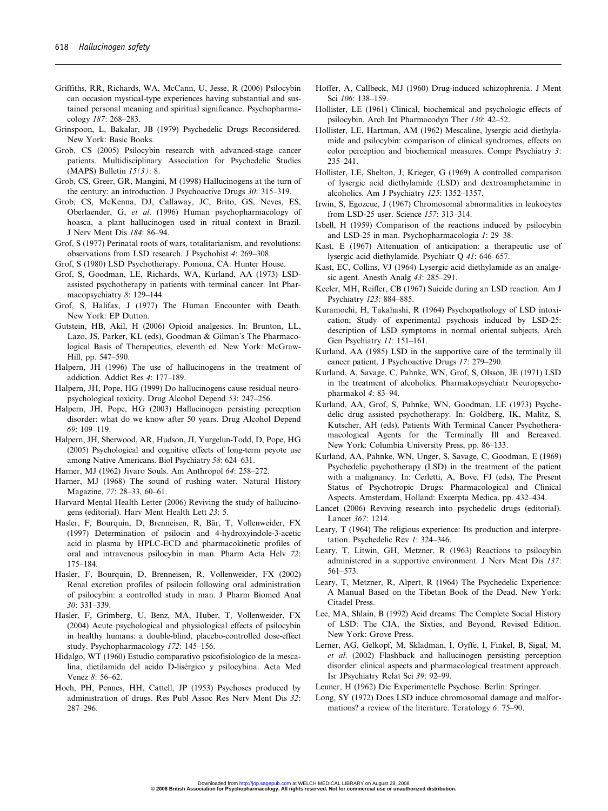- Griffiths, RR, Richards, WA, McCann, U, Jesse, R (2006) Psilocybin can occasion mystical-type experiences having substantial and sustained personal meaning and spiritual significance. Psychopharmacology 187: 268–283.
- Grinspoon, L, Bakalar, JB (1979) Psychedelic Drugs Reconsidered. New York: Basic Books.
- Grob, CS (2005) Psilocybin research with advanced-stage cancer patients. Multidisciplinary Association for Psychedelic Studies (MAPS) Bulletin  $15(3)$ : 8.
- Grob, CS, Greer, GR, Mangini, M (1998) Hallucinogens at the turn of the century: an introduction. J Psychoactive Drugs 30: 315–319.
- Grob, CS, McKenna, DJ, Callaway, JC, Brito, GS, Neves, ES, Oberlaender, G, et al. (1996) Human psychopharmacology of hoasca, a plant hallucinogen used in ritual context in Brazil. J Nerv Ment Dis 184: 86–94.
- Grof, S (1977) Perinatal roots of wars, totalitarianism, and revolutions: observations from LSD research. J Psychohist 4: 269–308.
- Grof, S (1980) LSD Psychotherapy. Pomona, CA: Hunter House.
- Grof, S, Goodman, LE, Richards, WA, Kurland, AA (1973) LSDassisted psychotherapy in patients with terminal cancer. Int Pharmacopsychiatry 8: 129–144.
- Grof, S, Halifax, J (1977) The Human Encounter with Death. New York: EP Dutton.
- Gutstein, HB, Akil, H (2006) Opioid analgesics. In: Brunton, LL, Lazo, JS, Parker, KL (eds), Goodman & Gilman's The Pharmacological Basis of Therapeutics, eleventh ed. New York: McGraw-Hill, pp. 547–590.
- Halpern, JH (1996) The use of hallucinogens in the treatment of addiction. Addict Res 4: 177–189.
- Halpern, JH, Pope, HG (1999) Do hallucinogens cause residual neuropsychological toxicity. Drug Alcohol Depend 53: 247–256.
- Halpern, JH, Pope, HG (2003) Hallucinogen persisting perception disorder: what do we know after 50 years. Drug Alcohol Depend 69: 109–119.
- Halpern, JH, Sherwood, AR, Hudson, JI, Yurgelun-Todd, D, Pope, HG (2005) Psychological and cognitive effects of long-term peyote use among Native Americans. Biol Psychiatry 58: 624–631.
- Harner, MJ (1962) Jivaro Souls. Am Anthropol 64: 258–272.
- Harner, MJ (1968) The sound of rushing water. Natural History Magazine, 77: 28–33, 60–61.
- Harvard Mental Health Letter (2006) Reviving the study of hallucinogens (editorial). Harv Ment Health Lett 23: 5.
- Hasler, F, Bourquin, D, Brenneisen, R, Bär, T, Vollenweider, FX (1997) Determination of psilocin and 4-hydroxyindole-3-acetic acid in plasma by HPLC-ECD and pharmacokinetic profiles of oral and intravenous psilocybin in man. Pharm Acta Helv 72: 175–184.
- Hasler, F, Bourquin, D, Brenneisen, R, Vollenweider, FX (2002) Renal excretion profiles of psilocin following oral administration of psilocybin: a controlled study in man. J Pharm Biomed Anal 30: 331–339.
- Hasler, F, Grimberg, U, Benz, MA, Huber, T, Vollenweider, FX (2004) Acute psychological and physiological effects of psilocybin in healthy humans: a double-blind, placebo-controlled dose-effect study. Psychopharmacology 172: 145–156.
- Hidalgo, WT (1960) Estudio comparativo psicofisiologico de la mescalina, dietilamida del acido D-lisérgico y psilocybina. Acta Med Venez 8: 56–62.
- Hoch, PH, Pennes, HH, Cattell, JP (1953) Psychoses produced by administration of drugs. Res Publ Assoc Res Nerv Ment Dis 32: 287–296.
- Hoffer, A, Callbeck, MJ (1960) Drug-induced schizophrenia. J Ment Sci 106: 138–159.
- Hollister, LE (1961) Clinical, biochemical and psychologic effects of psilocybin. Arch Int Pharmacodyn Ther 130: 42–52.
- Hollister, LE, Hartman, AM (1962) Mescaline, lysergic acid diethylamide and psilocybin: comparison of clinical syndromes, effects on color perception and biochemical measures. Compr Psychiatry 3: 235–241.
- Hollister, LE, Shelton, J, Krieger, G (1969) A controlled comparison of lysergic acid diethylamide (LSD) and dextroamphetamine in alcoholics. Am J Psychiatry 125: 1352–1357.
- Irwin, S, Egozcue, J (1967) Chromosomal abnormalities in leukocytes from LSD-25 user. Science 157: 313–314.
- Isbell, H (1959) Comparison of the reactions induced by psilocybin and LSD-25 in man. Psychopharmacologia 1: 29–38.
- Kast, E (1967) Attenuation of anticipation: a therapeutic use of lysergic acid diethylamide. Psychiatr Q 41: 646–657.
- Kast, EC, Collins, VJ (1964) Lysergic acid diethylamide as an analgesic agent. Anesth Analg 43: 285–291.
- Keeler, MH, Reifler, CB (1967) Suicide during an LSD reaction. Am J Psychiatry 123: 884–885.
- Kuramochi, H, Takahashi, R (1964) Psychopathology of LSD intoxication; Study of experimental psychosis induced by LSD-25: description of LSD symptoms in normal oriental subjects. Arch Gen Psychiatry 11: 151–161.
- Kurland, AA (1985) LSD in the supportive care of the terminally ill cancer patient. J Psychoactive Drugs 17: 279–290.
- Kurland, A, Savage, C, Pahnke, WN, Grof, S, Olsson, JE (1971) LSD in the treatment of alcoholics. Pharmakopsychiatr Neuropsychopharmakol 4: 83–94.
- Kurland, AA, Grof, S, Pahnke, WN, Goodman, LE (1973) Psychedelic drug assisted psychotherapy. In: Goldberg, IK, Malitz, S, Kutscher, AH (eds), Patients With Terminal Cancer Psychotheramacological Agents for the Terminally Ill and Bereaved. New York: Columbia University Press, pp. 86–133.
- Kurland, AA, Pahnke, WN, Unger, S, Savage, C, Goodman, E (1969) Psychedelic psychotherapy (LSD) in the treatment of the patient with a malignancy. In: Cerletti, A, Bove, FJ (eds), The Present Status of Psychotropic Drugs: Pharmacological and Clinical Aspects. Amsterdam, Holland: Excerpta Medica, pp. 432–434.
- Lancet (2006) Reviving research into psychedelic drugs (editorial). Lancet 367: 1214.
- Leary, T (1964) The religious experience: Its production and interpretation. Psychedelic Rev 1: 324–346.
- Leary, T, Litwin, GH, Metzner, R (1963) Reactions to psilocybin administered in a supportive environment. J Nerv Ment Dis 137: 561–573.
- Leary, T, Metzner, R, Alpert, R (1964) The Psychedelic Experience: A Manual Based on the Tibetan Book of the Dead. New York: Citadel Press.
- Lee, MA, Shlain, B (1992) Acid dreams: The Complete Social History of LSD: The CIA, the Sixties, and Beyond, Revised Edition. New York: Grove Press.
- Lerner, AG, Gelkopf, M, Skladman, I, Oyffe, I, Finkel, B, Sigal, M, et al. (2002) Flashback and hallucinogen persisting perception disorder: clinical aspects and pharmacological treatment approach. Isr JPsychiatry Relat Sci 39: 92–99.
- Leuner, H (1962) Die Experimentelle Psychose. Berlin: Springer.
- Long, SY (1972) Does LSD induce chromosomal damage and malformations? a review of the literature. Teratology 6: 75–90.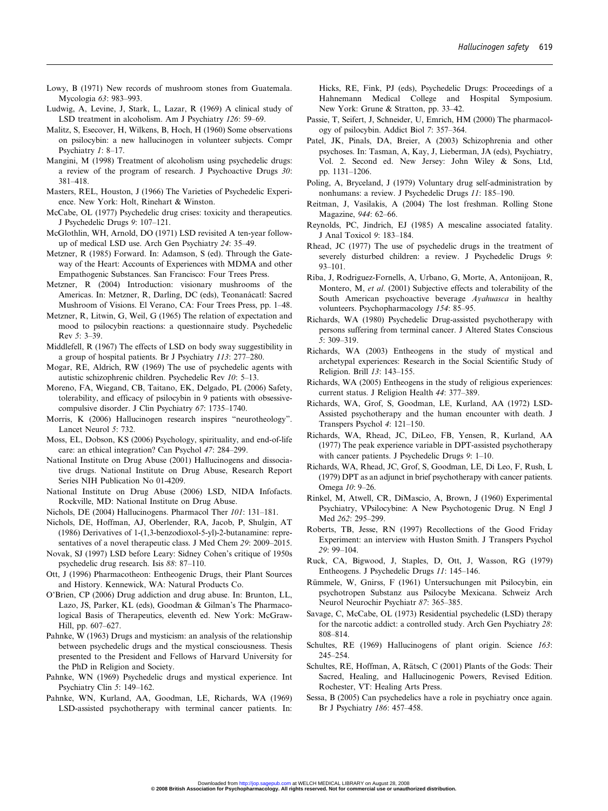- Lowy, B (1971) New records of mushroom stones from Guatemala. Mycologia 63: 983–993.
- Ludwig, A, Levine, J, Stark, L, Lazar, R (1969) A clinical study of LSD treatment in alcoholism. Am J Psychiatry 126: 59–69.
- Malitz, S, Esecover, H, Wilkens, B, Hoch, H (1960) Some observations on psilocybin: a new hallucinogen in volunteer subjects. Compr Psychiatry 1: 8-17.
- Mangini, M (1998) Treatment of alcoholism using psychedelic drugs: a review of the program of research. J Psychoactive Drugs 30: 381–418.
- Masters, REL, Houston, J (1966) The Varieties of Psychedelic Experience. New York: Holt, Rinehart & Winston.
- McCabe, OL (1977) Psychedelic drug crises: toxicity and therapeutics. J Psychedelic Drugs 9: 107–121.
- McGlothlin, WH, Arnold, DO (1971) LSD revisited A ten-year followup of medical LSD use. Arch Gen Psychiatry 24: 35–49.
- Metzner, R (1985) Forward. In: Adamson, S (ed). Through the Gateway of the Heart: Accounts of Experiences with MDMA and other Empathogenic Substances. San Francisco: Four Trees Press.
- Metzner, R (2004) Introduction: visionary mushrooms of the Americas. In: Metzner, R, Darling, DC (eds), Teonanácatl: Sacred Mushroom of Visions. El Verano, CA: Four Trees Press, pp. 1–48.
- Metzner, R, Litwin, G, Weil, G (1965) The relation of expectation and mood to psilocybin reactions: a questionnaire study. Psychedelic Rev 5: 3–39.
- Middlefell, R (1967) The effects of LSD on body sway suggestibility in a group of hospital patients. Br J Psychiatry 113: 277–280.
- Mogar, RE, Aldrich, RW (1969) The use of psychedelic agents with autistic schizophrenic children. Psychedelic Rev 10: 5–13.
- Moreno, FA, Wiegand, CB, Taitano, EK, Delgado, PL (2006) Safety, tolerability, and efficacy of psilocybin in 9 patients with obsessivecompulsive disorder. J Clin Psychiatry 67: 1735–1740.
- Morris, K (2006) Hallucinogen research inspires "neurotheology". Lancet Neurol 5: 732.
- Moss, EL, Dobson, KS (2006) Psychology, spirituality, and end-of-life care: an ethical integration? Can Psychol 47: 284–299.
- National Institute on Drug Abuse (2001) Hallucinogens and dissociative drugs. National Institute on Drug Abuse, Research Report Series NIH Publication No 01-4209.
- National Institute on Drug Abuse (2006) LSD, NIDA Infofacts. Rockville, MD: National Institute on Drug Abuse.
- Nichols, DE (2004) Hallucinogens. Pharmacol Ther 101: 131–181.
- Nichols, DE, Hoffman, AJ, Oberlender, RA, Jacob, P, Shulgin, AT (1986) Derivatives of 1-(1,3-benzodioxol-5-yl)-2-butanamine: representatives of a novel therapeutic class. J Med Chem 29: 2009–2015.
- Novak, SJ (1997) LSD before Leary: Sidney Cohen's critique of 1950s psychedelic drug research. Isis 88: 87–110.
- Ott, J (1996) Pharmacotheon: Entheogenic Drugs, their Plant Sources and History. Kennewick, WA: Natural Products Co.
- O'Brien, CP (2006) Drug addiction and drug abuse. In: Brunton, LL, Lazo, JS, Parker, KL (eds), Goodman & Gilman's The Pharmacological Basis of Therapeutics, eleventh ed. New York: McGraw-Hill, pp. 607–627.
- Pahnke, W (1963) Drugs and mysticism: an analysis of the relationship between psychedelic drugs and the mystical consciousness. Thesis presented to the President and Fellows of Harvard University for the PhD in Religion and Society.
- Pahnke, WN (1969) Psychedelic drugs and mystical experience. Int Psychiatry Clin 5: 149–162.
- Pahnke, WN, Kurland, AA, Goodman, LE, Richards, WA (1969) LSD-assisted psychotherapy with terminal cancer patients. In:

Hicks, RE, Fink, PJ (eds), Psychedelic Drugs: Proceedings of a Hahnemann Medical College and Hospital Symposium. New York: Grune & Stratton, pp. 33–42.

- Passie, T, Seifert, J, Schneider, U, Emrich, HM (2000) The pharmacology of psilocybin. Addict Biol 7: 357–364.
- Patel, JK, Pinals, DA, Breier, A (2003) Schizophrenia and other psychoses. In: Tasman, A, Kay, J, Lieberman, JA (eds), Psychiatry, Vol. 2. Second ed. New Jersey: John Wiley & Sons, Ltd, pp. 1131–1206.
- Poling, A, Bryceland, J (1979) Voluntary drug self-administration by nonhumans: a review. J Psychedelic Drugs 11: 185–190.
- Reitman, J, Vasilakis, A (2004) The lost freshman. Rolling Stone Magazine, 944: 62–66.
- Reynolds, PC, Jindrich, EJ (1985) A mescaline associated fatality. J Anal Toxicol 9: 183–184.
- Rhead, JC (1977) The use of psychedelic drugs in the treatment of severely disturbed children: a review. J Psychedelic Drugs 9: 93–101.
- Riba, J, Rodriguez-Fornells, A, Urbano, G, Morte, A, Antonijoan, R, Montero, M, et al. (2001) Subjective effects and tolerability of the South American psychoactive beverage Ayahuasca in healthy volunteers. Psychopharmacology 154: 85–95.
- Richards, WA (1980) Psychedelic Drug-assisted psychotherapy with persons suffering from terminal cancer. J Altered States Conscious 5: 309–319.
- Richards, WA (2003) Entheogens in the study of mystical and archetypal experiences: Research in the Social Scientific Study of Religion. Brill 13: 143–155.
- Richards, WA (2005) Entheogens in the study of religious experiences: current status. J Religion Health 44: 377–389.
- Richards, WA, Grof, S, Goodman, LE, Kurland, AA (1972) LSD-Assisted psychotherapy and the human encounter with death. J Transpers Psychol 4: 121–150.
- Richards, WA, Rhead, JC, DiLeo, FB, Yensen, R, Kurland, AA (1977) The peak experience variable in DPT-assisted psychotherapy with cancer patients. J Psychedelic Drugs 9: 1–10.
- Richards, WA, Rhead, JC, Grof, S, Goodman, LE, Di Leo, F, Rush, L (1979) DPT as an adjunct in brief psychotherapy with cancer patients. Omega 10: 9–26.
- Rinkel, M, Atwell, CR, DiMascio, A, Brown, J (1960) Experimental Psychiatry, VPsilocybine: A New Psychotogenic Drug. N Engl J Med 262: 295–299.
- Roberts, TB, Jesse, RN (1997) Recollections of the Good Friday Experiment: an interview with Huston Smith. J Transpers Psychol 29: 99–104.
- Ruck, CA, Bigwood, J, Staples, D, Ott, J, Wasson, RG (1979) Entheogens. J Psychedelic Drugs 11: 145–146.
- Rümmele, W, Gnirss, F (1961) Untersuchungen mit Psilocybin, ein psychotropen Substanz aus Psilocybe Mexicana. Schweiz Arch Neurol Neurochir Psychiatr 87: 365–385.
- Savage, C, McCabe, OL (1973) Residential psychedelic (LSD) therapy for the narcotic addict: a controlled study. Arch Gen Psychiatry 28: 808–814.
- Schultes, RE (1969) Hallucinogens of plant origin. Science 163: 245–254.
- Schultes, RE, Hoffman, A, Rätsch, C (2001) Plants of the Gods: Their Sacred, Healing, and Hallucinogenic Powers, Revised Edition. Rochester, VT: Healing Arts Press.
- Sessa, B (2005) Can psychedelics have a role in psychiatry once again. Br J Psychiatry 186: 457–458.